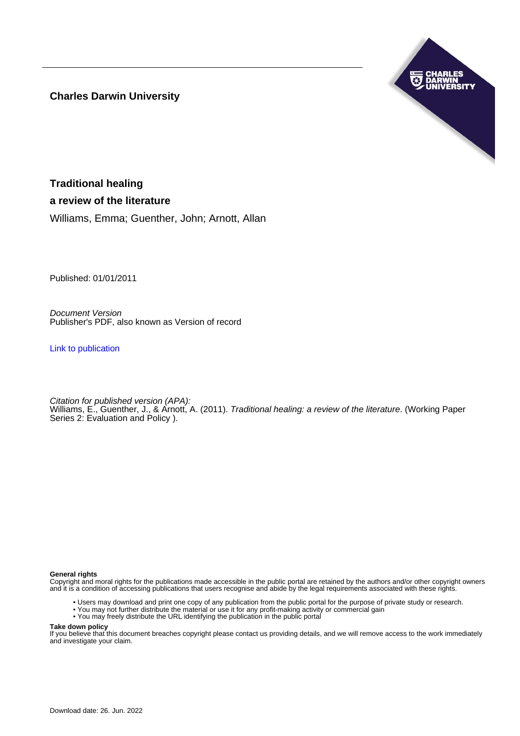**Charles Darwin University**



**Traditional healing a review of the literature**

Williams, Emma; Guenther, John; Arnott, Allan

Published: 01/01/2011

Document Version Publisher's PDF, also known as Version of record

[Link to publication](https://researchers.cdu.edu.au/en/publications/846fa1ac-bd32-41ee-b30f-83c8ff5c9243)

Citation for published version (APA): Williams, E., Guenther, J., & Arnott, A. (2011). Traditional healing: a review of the literature. (Working Paper Series 2: Evaluation and Policy ).

#### **General rights**

Copyright and moral rights for the publications made accessible in the public portal are retained by the authors and/or other copyright owners and it is a condition of accessing publications that users recognise and abide by the legal requirements associated with these rights.

- Users may download and print one copy of any publication from the public portal for the purpose of private study or research.
- You may not further distribute the material or use it for any profit-making activity or commercial gain
- You may freely distribute the URL identifying the publication in the public portal

#### **Take down policy**

If you believe that this document breaches copyright please contact us providing details, and we will remove access to the work immediately and investigate your claim.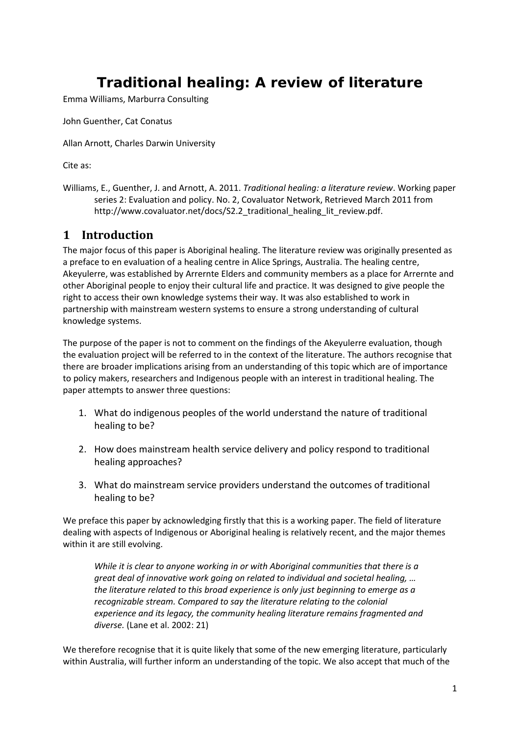# **Traditional healing: A review of literature**

Emma Williams, Marburra Consulting

John Guenther, Cat Conatus

Allan Arnott, Charles Darwin University

Cite as:

Williams, E., Guenther, J. and Arnott, A. 2011. *Traditional healing: a literature review*. Working paper series 2: Evaluation and policy. No. 2, Covaluator Network, Retrieved March 2011 from http://www.covaluator.net/docs/S2.2\_traditional\_healing\_lit\_review.pdf.

# **1 Introduction**

The major focus of this paper is Aboriginal healing. The literature review was originally presented as a preface to en evaluation of a healing centre in Alice Springs, Australia. The healing centre, Akeyulerre, was established by Arrernte Elders and community members as a place for Arrernte and other Aboriginal people to enjoy their cultural life and practice. It was designed to give people the right to access their own knowledge systems their way. It was also established to work in partnership with mainstream western systems to ensure a strong understanding of cultural knowledge systems.

The purpose of the paper is not to comment on the findings of the Akeyulerre evaluation, though the evaluation project will be referred to in the context of the literature. The authors recognise that there are broader implications arising from an understanding of this topic which are of importance to policy makers, researchers and Indigenous people with an interest in traditional healing. The paper attempts to answer three questions:

- 1. What do indigenous peoples of the world understand the nature of traditional healing to be?
- 2. How does mainstream health service delivery and policy respond to traditional healing approaches?
- 3. What do mainstream service providers understand the outcomes of traditional healing to be?

We preface this paper by acknowledging firstly that this is a working paper. The field of literature dealing with aspects of Indigenous or Aboriginal healing is relatively recent, and the major themes within it are still evolving.

*While it is clear to anyone working in or with Aboriginal communities that there is a great deal of innovative work going on related to individual and societal healing, … the literature related to this broad experience is only just beginning to emerge as a recognizable stream. Compared to say the literature relating to the colonial experience and its legacy, the community healing literature remains fragmented and diverse.* [\(Lane et al. 2002: 21\)](#page-28-0)

We therefore recognise that it is quite likely that some of the new emerging literature, particularly within Australia, will further inform an understanding of the topic. We also accept that much of the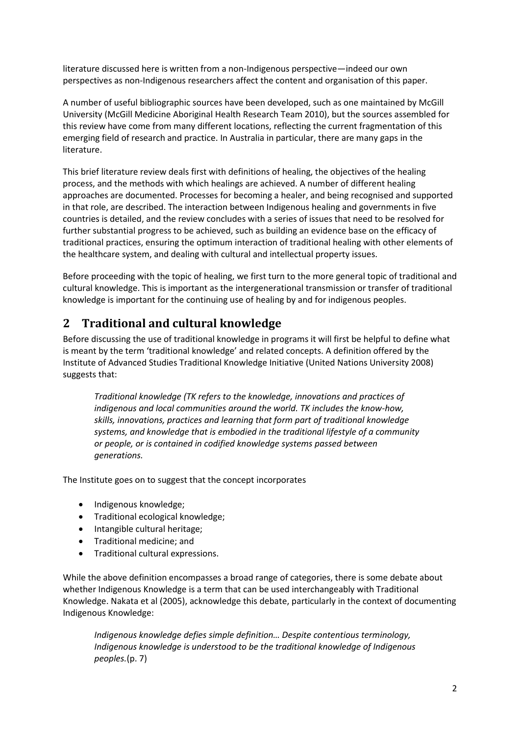literature discussed here is written from a non-Indigenous perspective—indeed our own perspectives as non-Indigenous researchers affect the content and organisation of this paper.

A number of useful bibliographic sources have been developed, such as one maintained by McGill University [\(McGill Medicine Aboriginal Health Research Team 2010\)](#page-28-1), but the sources assembled for this review have come from many different locations, reflecting the current fragmentation of this emerging field of research and practice. In Australia in particular, there are many gaps in the literature.

This brief literature review deals first with definitions of healing, the objectives of the healing process, and the methods with which healings are achieved. A number of different healing approaches are documented. Processes for becoming a healer, and being recognised and supported in that role, are described. The interaction between Indigenous healing and governments in five countries is detailed, and the review concludes with a series of issues that need to be resolved for further substantial progress to be achieved, such as building an evidence base on the efficacy of traditional practices, ensuring the optimum interaction of traditional healing with other elements of the healthcare system, and dealing with cultural and intellectual property issues.

Before proceeding with the topic of healing, we first turn to the more general topic of traditional and cultural knowledge. This is important as the intergenerational transmission or transfer of traditional knowledge is important for the continuing use of healing by and for indigenous peoples.

# **2 Traditional and cultural knowledge**

Before discussing the use of traditional knowledge in programs it will first be helpful to define what is meant by the term 'traditional knowledge' and related concepts. A definition offered by the Institute of Advanced Studies Traditional Knowledge Initiative [\(United Nations University 2008\)](#page-31-0) suggests that:

*Traditional knowledge (TK refers to the knowledge, innovations and practices of indigenous and local communities around the world. TK includes the know-how, skills, innovations, practices and learning that form part of traditional knowledge systems, and knowledge that is embodied in the traditional lifestyle of a community or people, or is contained in codified knowledge systems passed between generations.*

The Institute goes on to suggest that the concept incorporates

- Indigenous knowledge;
- Traditional ecological knowledge;
- Intangible cultural heritage;
- Traditional medicine; and
- Traditional cultural expressions.

While the above definition encompasses a broad range of categories, there is some debate about whether Indigenous Knowledge is a term that can be used interchangeably with Traditional Knowledge. Nakata et al [\(2005\)](#page-29-0), acknowledge this debate, particularly in the context of documenting Indigenous Knowledge:

*Indigenous knowledge defies simple definition… Despite contentious terminology, Indigenous knowledge is understood to be the traditional knowledge of Indigenous peoples.*(p. 7)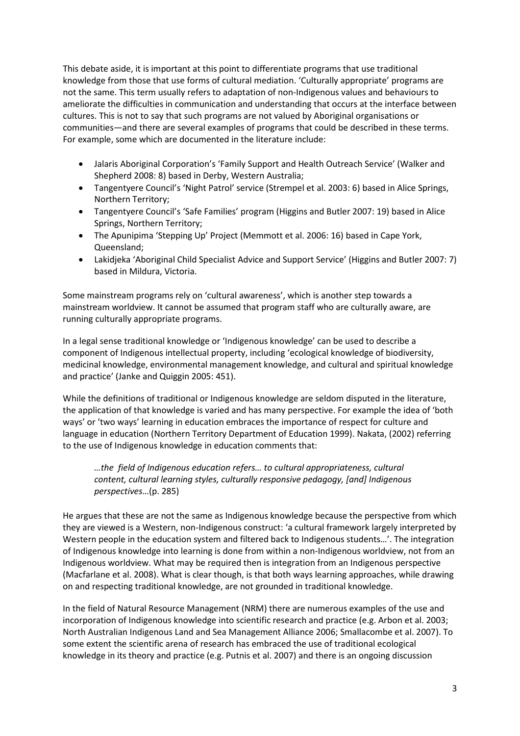This debate aside, it is important at this point to differentiate programs that use traditional knowledge from those that use forms of cultural mediation. 'Culturally appropriate' programs are not the same. This term usually refers to adaptation of non-Indigenous values and behaviours to ameliorate the difficulties in communication and understanding that occurs at the interface between cultures. This is not to say that such programs are not valued by Aboriginal organisations or communities—and there are several examples of programs that could be described in these terms. For example, some which are documented in the literature include:

- Jalaris Aboriginal Corporation's 'Family Support and Health Outreach Service' [\(Walker and](#page-31-1)  [Shepherd 2008: 8\)](#page-31-1) based in Derby, Western Australia;
- Tangentyere Council's 'Night Patrol' service [\(Strempel et al. 2003: 6\)](#page-30-0) based in Alice Springs, Northern Territory;
- Tangentyere Council's 'Safe Families' program [\(Higgins and Butler 2007: 19\)](#page-27-0) based in Alice Springs, Northern Territory;
- The Apunipima 'Stepping Up' Project [\(Memmott et al. 2006: 16\)](#page-29-1) based in Cape York, Queensland;
- Lakidjeka 'Aboriginal Child Specialist Advice and Support Service' [\(Higgins and Butler 2007: 7\)](#page-27-0) based in Mildura, Victoria.

Some mainstream programs rely on 'cultural awareness', which is another step towards a mainstream worldview. It cannot be assumed that program staff who are culturally aware, are running culturally appropriate programs.

In a legal sense traditional knowledge or 'Indigenous knowledge' can be used to describe a component of Indigenous intellectual property, including 'ecological knowledge of biodiversity, medicinal knowledge, environmental management knowledge, and cultural and spiritual knowledge and practice' [\(Janke and Quiggin 2005: 451\)](#page-28-2).

While the definitions of traditional or Indigenous knowledge are seldom disputed in the literature, the application of that knowledge is varied and has many perspective. For example the idea of 'both ways' or 'two ways' learning in education embraces the importance of respect for culture and language in education [\(Northern Territory Department of Education 1999\)](#page-29-2). Nakata, [\(2002\)](#page-29-3) referring to the use of Indigenous knowledge in education comments that:

#### *…the field of Indigenous education refers… to cultural appropriateness, cultural content, cultural learning styles, culturally responsive pedagogy, [and] Indigenous perspectives*…(p. 285)

He argues that these are not the same as Indigenous knowledge because the perspective from which they are viewed is a Western, non-Indigenous construct: 'a cultural framework largely interpreted by Western people in the education system and filtered back to Indigenous students…'. The integration of Indigenous knowledge into learning is done from within a non-Indigenous worldview, not from an Indigenous worldview. What may be required then is integration from an Indigenous perspective [\(Macfarlane et al. 2008\)](#page-28-3). What is clear though, is that both ways learning approaches, while drawing on and respecting traditional knowledge, are not grounded in traditional knowledge.

In the field of Natural Resource Management (NRM) there are numerous examples of the use and incorporation of Indigenous knowledge into scientific research and practice (e.g. [Arbon et al. 2003;](#page-25-0) [North Australian Indigenous Land and Sea Management Alliance 2006;](#page-29-4) [Smallacombe et al. 2007\)](#page-30-1). To some extent the scientific arena of research has embraced the use of traditional ecological knowledge in its theory and practice [\(e.g. Putnis et al. 2007\)](#page-30-2) and there is an ongoing discussion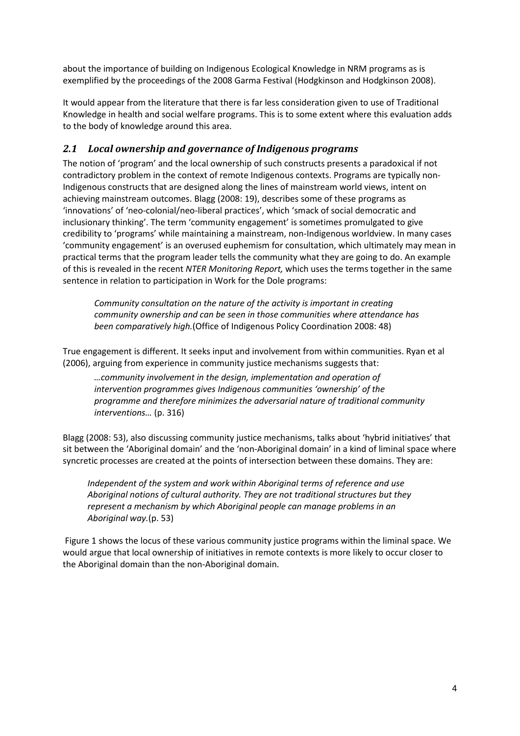about the importance of building on Indigenous Ecological Knowledge in NRM programs as is exemplified by the proceedings of the 2008 Garma Festival [\(Hodgkinson and Hodgkinson 2008\)](#page-27-1).

It would appear from the literature that there is far less consideration given to use of Traditional Knowledge in health and social welfare programs. This is to some extent where this evaluation adds to the body of knowledge around this area.

#### *2.1 Local ownership and governance of Indigenous programs*

The notion of 'program' and the local ownership of such constructs presents a paradoxical if not contradictory problem in the context of remote Indigenous contexts. Programs are typically non-Indigenous constructs that are designed along the lines of mainstream world views, intent on achieving mainstream outcomes. Blagg [\(2008: 19\)](#page-25-1), describes some of these programs as 'innovations' of 'neo-colonial/neo-liberal practices', which 'smack of social democratic and inclusionary thinking'. The term 'community engagement' is sometimes promulgated to give credibility to 'programs' while maintaining a mainstream, non-Indigenous worldview. In many cases 'community engagement' is an overused euphemism for consultation, which ultimately may mean in practical terms that the program leader tells the community what they are going to do. An example of this is revealed in the recent *NTER Monitoring Report,* which uses the terms together in the same sentence in relation to participation in Work for the Dole programs:

*Community consultation on the nature of the activity is important in creating community ownership and can be seen in those communities where attendance has been comparatively high.*[\(Office of Indigenous Policy Coordination 2008: 48\)](#page-29-5)

True engagement is different. It seeks input and involvement from within communities. Ryan et al [\(2006\)](#page-30-3), arguing from experience in community justice mechanisms suggests that:

*…community involvement in the design, implementation and operation of intervention programmes gives Indigenous communities 'ownership' of the programme and therefore minimizes the adversarial nature of traditional community interventions…* (p. 316)

Blagg [\(2008: 53\)](#page-25-1), also discussing community justice mechanisms, talks about 'hybrid initiatives' that sit between the 'Aboriginal domain' and the 'non-Aboriginal domain' in a kind of liminal space where syncretic processes are created at the points of intersection between these domains. They are:

*Independent of the system and work within Aboriginal terms of reference and use Aboriginal notions of cultural authority. They are not traditional structures but they represent a mechanism by which Aboriginal people can manage problems in an Aboriginal way.*(p. 53)

[Figure 1](#page-5-0) shows the locus of these various community justice programs within the liminal space. We would argue that local ownership of initiatives in remote contexts is more likely to occur closer to the Aboriginal domain than the non-Aboriginal domain.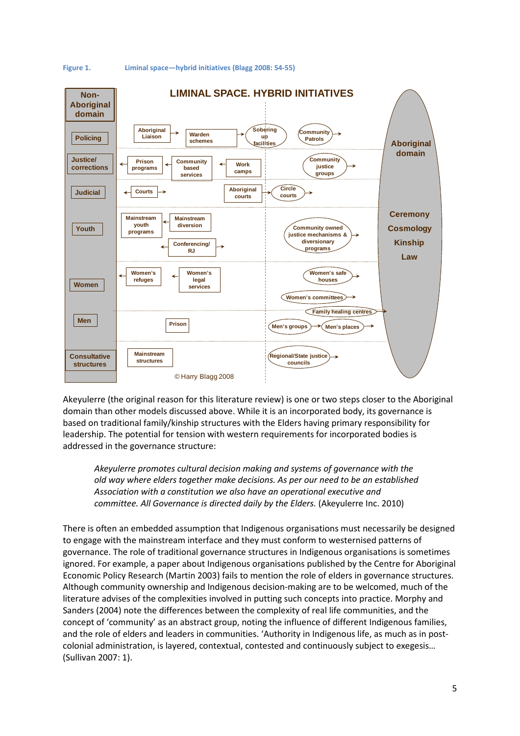

<span id="page-5-0"></span>**Figure 1. Liminal space—hybrid initiatives [\(Blagg 2008: 54-55\)](#page-25-1)**

Akeyulerre (the original reason for this literature review) is one or two steps closer to the Aboriginal domain than other models discussed above. While it is an incorporated body, its governance is based on traditional family/kinship structures with the Elders having primary responsibility for leadership. The potential for tension with western requirements for incorporated bodies is addressed in the governance structure:

*Akeyulerre promotes cultural decision making and systems of governance with the old way where elders together make decisions. As per our need to be an established Association with a constitution we also have an operational executive and committee. All Governance is directed daily by the Elders.* [\(Akeyulerre Inc. 2010\)](#page-25-2)

There is often an embedded assumption that Indigenous organisations must necessarily be designed to engage with the mainstream interface and they must conform to westernised patterns of governance. The role of traditional governance structures in Indigenous organisations is sometimes ignored. For example, a paper about Indigenous organisations published by the Centre for Aboriginal Economic Policy Research [\(Martin 2003\)](#page-28-4) fails to mention the role of elders in governance structures. Although community ownership and Indigenous decision-making are to be welcomed, much of the literature advises of the complexities involved in putting such concepts into practice. Morphy and Sanders [\(2004\)](#page-25-3) note the differences between the complexity of real life communities, and the concept of 'community' as an abstract group, noting the influence of different Indigenous families, and the role of elders and leaders in communities. 'Authority in Indigenous life, as much as in postcolonial administration, is layered, contextual, contested and continuously subject to exegesis… [\(Sullivan 2007: 1\)](#page-31-2).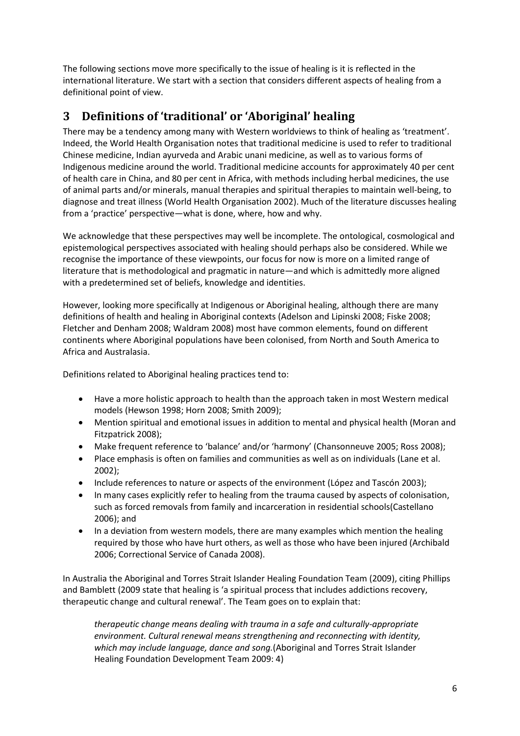The following sections move more specifically to the issue of healing is it is reflected in the international literature. We start with a section that considers different aspects of healing from a definitional point of view.

# **3 Definitions of 'traditional' or 'Aboriginal' healing**

There may be a tendency among many with Western worldviews to think of healing as 'treatment'. Indeed, the World Health Organisation notes that traditional medicine is used to refer to traditional Chinese medicine, Indian ayurveda and Arabic unani medicine, as well as to various forms of Indigenous medicine around the world. Traditional medicine accounts for approximately 40 per cent of health care in China, and 80 per cent in Africa, with methods including herbal medicines, the use of animal parts and/or minerals, manual therapies and spiritual therapies to maintain well-being, to diagnose and treat illness [\(World Health Organisation 2002\)](#page-31-3). Much of the literature discusses healing from a 'practice' perspective—what is done, where, how and why.

We acknowledge that these perspectives may well be incomplete. The ontological, cosmological and epistemological perspectives associated with healing should perhaps also be considered. While we recognise the importance of these viewpoints, our focus for now is more on a limited range of literature that is methodological and pragmatic in nature—and which is admittedly more aligned with a predetermined set of beliefs, knowledge and identities.

However, looking more specifically at Indigenous or Aboriginal healing, although there are many definitions of health and healing in Aboriginal contexts [\(Adelson and Lipinski 2008;](#page-25-4) [Fiske 2008;](#page-27-2) [Fletcher and Denham 2008;](#page-27-3) [Waldram 2008\)](#page-31-4) most have common elements, found on different continents where Aboriginal populations have been colonised, from North and South America to Africa and Australasia.

Definitions related to Aboriginal healing practices tend to:

- Have a more holistic approach to health than the approach taken in most Western medical models [\(Hewson 1998;](#page-27-4) [Horn 2008;](#page-27-5) [Smith 2009\)](#page-30-4);
- Mention spiritual and emotional issues in addition to mental and physical health [\(Moran and](#page-29-6)  [Fitzpatrick 2008\)](#page-29-6);
- Make frequent reference to 'balance' and/or 'harmony' [\(Chansonneuve 2005;](#page-26-0) [Ross 2008\)](#page-30-5);
- Place emphasis is often on families and communities as well as on individuals [\(Lane et al.](#page-28-0)  [2002\)](#page-28-0);
- Include references to nature or aspects of the environment [\(López and Tascón 2003\)](#page-28-5);
- In many cases explicitly refer to healing from the trauma caused by aspects of colonisation, such as forced removals from family and incarceration in residential schools[\(Castellano](#page-25-5)  [2006\)](#page-25-5); and
- In a deviation from western models, there are many examples which mention the healing required by those who have hurt others, as well as those who have been injured [\(Archibald](#page-25-6)  [2006;](#page-25-6) [Correctional Service of Canada 2008\)](#page-26-1).

In Australia the Aboriginal and Torres Strait Islander Healing Foundation Team [\(2009\)](#page-24-0), citing Phillips and Bamblett (2009 state that healing is 'a spiritual process that includes addictions recovery, therapeutic change and cultural renewal'. The Team goes on to explain that:

*therapeutic change means dealing with trauma in a safe and culturally-appropriate environment. Cultural renewal means strengthening and reconnecting with identity, which may include language, dance and song.*[\(Aboriginal and Torres Strait Islander](#page-24-0)  [Healing Foundation Development Team 2009: 4\)](#page-24-0)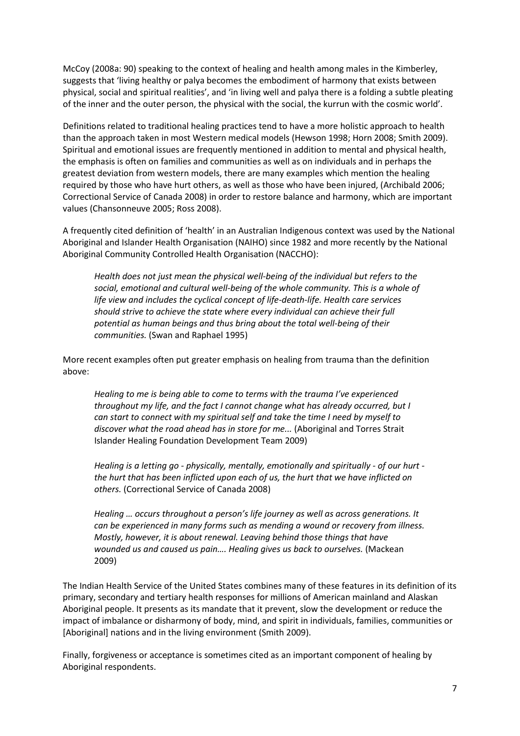McCoy [\(2008a: 90\)](#page-28-6) speaking to the context of healing and health among males in the Kimberley, suggests that 'living healthy or palya becomes the embodiment of harmony that exists between physical, social and spiritual realities', and 'in living well and palya there is a folding a subtle pleating of the inner and the outer person, the physical with the social, the kurrun with the cosmic world'.

Definitions related to traditional healing practices tend to have a more holistic approach to health than the approach taken in most Western medical models [\(Hewson 1998;](#page-27-4) [Horn 2008;](#page-27-5) [Smith 2009\)](#page-30-4). Spiritual and emotional issues are frequently mentioned in addition to mental and physical health, the emphasis is often on families and communities as well as on individuals and in perhaps the greatest deviation from western models, there are many examples which mention the healing required by those who have hurt others, as well as those who have been injured, [\(Archibald 2006;](#page-25-6) [Correctional Service of Canada 2008\)](#page-26-1) in order to restore balance and harmony, which are important values [\(Chansonneuve 2005;](#page-26-0) [Ross 2008\)](#page-30-5).

A frequently cited definition of 'health' in an Australian Indigenous context was used by the National Aboriginal and Islander Health Organisation (NAIHO) since 1982 and more recently by the National Aboriginal Community Controlled Health Organisation (NACCHO):

*Health does not just mean the physical well-being of the individual but refers to the social, emotional and cultural well-being of the whole community. This is a whole of life view and includes the cyclical concept of life-death-life. Health care services should strive to achieve the state where every individual can achieve their full potential as human beings and thus bring about the total well-being of their communities.* [\(Swan and Raphael 1995\)](#page-31-5)

More recent examples often put greater emphasis on healing from trauma than the definition above:

*Healing to me is being able to come to terms with the trauma I've experienced throughout my life, and the fact I cannot change what has already occurred, but I can start to connect with my spiritual self and take the time I need by myself to discover what the road ahead has in store for me...* [\(Aboriginal and Torres Strait](#page-24-0)  [Islander Healing Foundation Development Team 2009\)](#page-24-0)

*Healing is a letting go - physically, mentally, emotionally and spiritually - of our hurt the hurt that has been inflicted upon each of us, the hurt that we have inflicted on others.* [\(Correctional Service of Canada 2008\)](#page-26-1)

*Healing … occurs throughout a person's life journey as well as across generations. It can be experienced in many forms such as mending a wound or recovery from illness. Mostly, however, it is about renewal. Leaving behind those things that have wounded us and caused us pain…. Healing gives us back to ourselves.* [\(Mackean](#page-28-7)  [2009\)](#page-28-7)

The Indian Health Service of the United States combines many of these features in its definition of its primary, secondary and tertiary health responses for millions of American mainland and Alaskan Aboriginal people. It presents as its mandate that it prevent, slow the development or reduce the impact of imbalance or disharmony of body, mind, and spirit in individuals, families, communities or [Aboriginal] nations and in the living environment [\(Smith 2009\)](#page-30-4).

Finally, forgiveness or acceptance is sometimes cited as an important component of healing by Aboriginal respondents.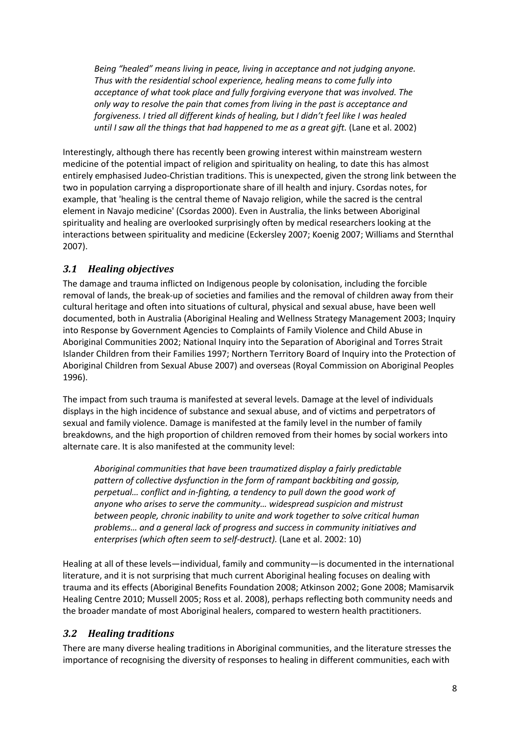*Being "healed" means living in peace, living in acceptance and not judging anyone. Thus with the residential school experience, healing means to come fully into acceptance of what took place and fully forgiving everyone that was involved. The only way to resolve the pain that comes from living in the past is acceptance and forgiveness. I tried all different kinds of healing, but I didn't feel like I was healed until I saw all the things that had happened to me as a great gift.* [\(Lane et al. 2002\)](#page-28-0)

Interestingly, although there has recently been growing interest within mainstream western medicine of the potential impact of religion and spirituality on healing, to date this has almost entirely emphasised Judeo-Christian traditions. This is unexpected, given the strong link between the two in population carrying a disproportionate share of ill health and injury. Csordas notes, for example, that 'healing is the central theme of Navajo religion, while the sacred is the central element in Navajo medicine' [\(Csordas 2000\)](#page-26-2). Even in Australia, the links between Aboriginal spirituality and healing are overlooked surprisingly often by medical researchers looking at the interactions between spirituality and medicine [\(Eckersley 2007;](#page-26-3) [Koenig 2007;](#page-28-8) [Williams and Sternthal](#page-31-6)  [2007\)](#page-31-6).

### *3.1 Healing objectives*

The damage and trauma inflicted on Indigenous people by colonisation, including the forcible removal of lands, the break-up of societies and families and the removal of children away from their cultural heritage and often into situations of cultural, physical and sexual abuse, have been well documented, both in Australia [\(Aboriginal Healing and Wellness Strategy Management 2003;](#page-24-1) [Inquiry](#page-27-6)  [into Response by Government Agencies to Complaints of Family Violence and Child Abuse in](#page-27-6)  [Aboriginal Communities 2002;](#page-27-6) [National Inquiry into the Separation of Aboriginal and Torres Strait](#page-29-7)  [Islander Children from their Families 1997;](#page-29-7) [Northern Territory Board of Inquiry into the Protection of](#page-29-8)  [Aboriginal Children from Sexual Abuse 2007\)](#page-29-8) and overseas [\(Royal Commission on Aboriginal Peoples](#page-30-6)  [1996\)](#page-30-6).

The impact from such trauma is manifested at several levels. Damage at the level of individuals displays in the high incidence of substance and sexual abuse, and of victims and perpetrators of sexual and family violence. Damage is manifested at the family level in the number of family breakdowns, and the high proportion of children removed from their homes by social workers into alternate care. It is also manifested at the community level:

*Aboriginal communities that have been traumatized display a fairly predictable pattern of collective dysfunction in the form of rampant backbiting and gossip, perpetual… conflict and in-fighting, a tendency to pull down the good work of anyone who arises to serve the community… widespread suspicion and mistrust between people, chronic inability to unite and work together to solve critical human problems… and a general lack of progress and success in community initiatives and enterprises (which often seem to self-destruct).* [\(Lane et al. 2002: 10\)](#page-28-0)

Healing at all of these levels—individual, family and community—is documented in the international literature, and it is not surprising that much current Aboriginal healing focuses on dealing with trauma and its effects [\(Aboriginal Benefits Foundation 2008;](#page-24-2) [Atkinson 2002;](#page-25-7) [Gone 2008;](#page-27-7) [Mamisarvik](#page-28-9)  [Healing Centre 2010;](#page-28-9) [Mussell 2005;](#page-29-9) [Ross et al. 2008\)](#page-30-7), perhaps reflecting both community needs and the broader mandate of most Aboriginal healers, compared to western health practitioners.

#### *3.2 Healing traditions*

There are many diverse healing traditions in Aboriginal communities, and the literature stresses the importance of recognising the diversity of responses to healing in different communities, each with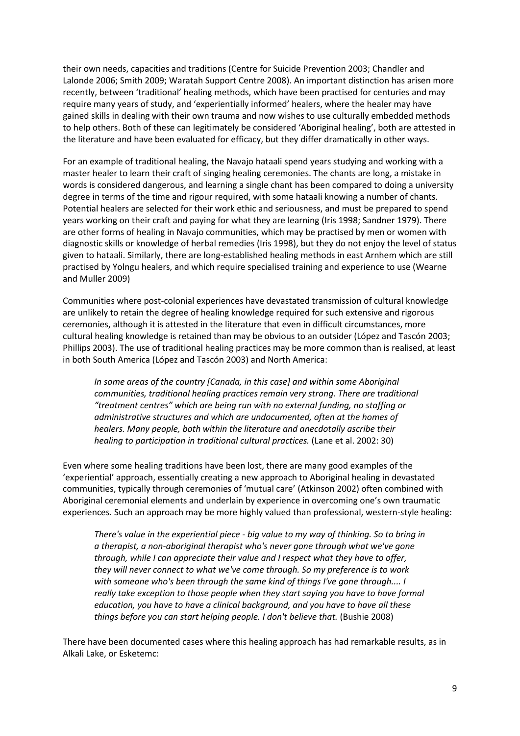their own needs, capacities and traditions [\(Centre for Suicide Prevention 2003;](#page-25-8) [Chandler and](#page-26-4)  [Lalonde 2006;](#page-26-4) [Smith 2009;](#page-30-4) [Waratah Support Centre 2008\)](#page-31-7). An important distinction has arisen more recently, between 'traditional' healing methods, which have been practised for centuries and may require many years of study, and 'experientially informed' healers, where the healer may have gained skills in dealing with their own trauma and now wishes to use culturally embedded methods to help others. Both of these can legitimately be considered 'Aboriginal healing', both are attested in the literature and have been evaluated for efficacy, but they differ dramatically in other ways.

For an example of traditional healing, the Navajo hataali spend years studying and working with a master healer to learn their craft of singing healing ceremonies. The chants are long, a mistake in words is considered dangerous, and learning a single chant has been compared to doing a university degree in terms of the time and rigour required, with some hataali knowing a number of chants. Potential healers are selected for their work ethic and seriousness, and must be prepared to spend years working on their craft and paying for what they are learning [\(Iris 1998;](#page-28-10) [Sandner 1979\)](#page-30-8). There are other forms of healing in Navajo communities, which may be practised by men or women with diagnostic skills or knowledge of herbal remedies [\(Iris 1998\)](#page-28-10), but they do not enjoy the level of status given to hataali. Similarly, there are long-established healing methods in east Arnhem which are still practised by Yolngu healers, and which require specialised training and experience to use [\(Wearne](#page-31-8)  [and Muller 2009\)](#page-31-8)

Communities where post-colonial experiences have devastated transmission of cultural knowledge are unlikely to retain the degree of healing knowledge required for such extensive and rigorous ceremonies, although it is attested in the literature that even in difficult circumstances, more cultural healing knowledge is retained than may be obvious to an outsider [\(López and Tascón 2003;](#page-28-5) [Phillips 2003\)](#page-29-10). The use of traditional healing practices may be more common than is realised, at least in both South America [\(López and Tascón 2003\)](#page-28-5) and North America:

*In some areas of the country [Canada, in this case] and within some Aboriginal communities, traditional healing practices remain very strong. There are traditional "treatment centres" which are being run with no external funding, no staffing or administrative structures and which are undocumented, often at the homes of healers. Many people, both within the literature and anecdotally ascribe their healing to participation in traditional cultural practices.* [\(Lane et al. 2002: 30\)](#page-28-0)

Even where some healing traditions have been lost, there are many good examples of the 'experiential' approach, essentially creating a new approach to Aboriginal healing in devastated communities, typically through ceremonies of 'mutual care' [\(Atkinson 2002\)](#page-25-7) often combined with Aboriginal ceremonial elements and underlain by experience in overcoming one's own traumatic experiences. Such an approach may be more highly valued than professional, western-style healing:

*There's value in the experiential piece - big value to my way of thinking. So to bring in a therapist, a non-aboriginal therapist who's never gone through what we've gone through, while I can appreciate their value and I respect what they have to offer, they will never connect to what we've come through. So my preference is to work with someone who's been through the same kind of things I've gone through.... I really take exception to those people when they start saying you have to have formal education, you have to have a clinical background, and you have to have all these things before you can start helping people. I don't believe that. [\(Bushie 2008\)](#page-25-9)* 

There have been documented cases where this healing approach has had remarkable results, as in Alkali Lake, or Esketemc: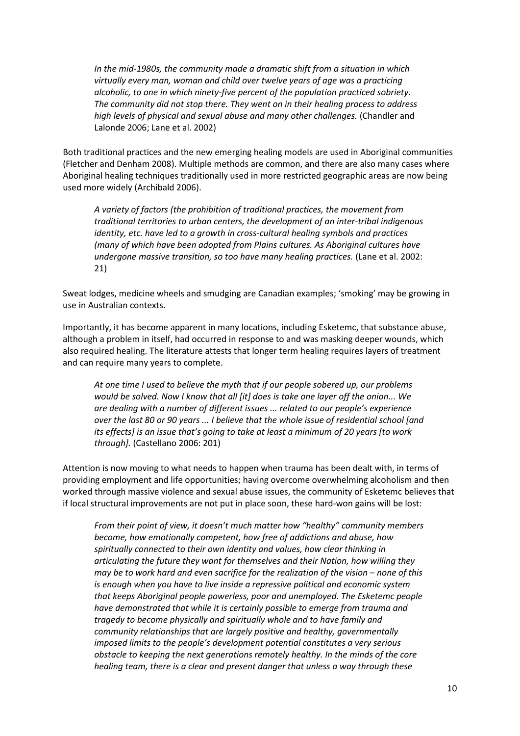*In the mid-1980s, the community made a dramatic shift from a situation in which virtually every man, woman and child over twelve years of age was a practicing alcoholic, to one in which ninety-five percent of the population practiced sobriety. The community did not stop there. They went on in their healing process to address high levels of physical and sexual abuse and many other challenges.* [\(Chandler and](#page-26-4)  [Lalonde 2006;](#page-26-4) [Lane et al. 2002\)](#page-28-0)

Both traditional practices and the new emerging healing models are used in Aboriginal communities [\(Fletcher and Denham 2008\)](#page-27-3). Multiple methods are common, and there are also many cases where Aboriginal healing techniques traditionally used in more restricted geographic areas are now being used more widely [\(Archibald 2006\)](#page-25-6).

*A variety of factors (the prohibition of traditional practices, the movement from traditional territories to urban centers, the development of an inter-tribal indigenous identity, etc. have led to a growth in cross-cultural healing symbols and practices (many of which have been adopted from Plains cultures. As Aboriginal cultures have undergone massive transition, so too have many healing practices.* [\(Lane et al. 2002:](#page-28-0)  [21\)](#page-28-0)

Sweat lodges, medicine wheels and smudging are Canadian examples; 'smoking' may be growing in use in Australian contexts.

Importantly, it has become apparent in many locations, including Esketemc, that substance abuse, although a problem in itself, had occurred in response to and was masking deeper wounds, which also required healing. The literature attests that longer term healing requires layers of treatment and can require many years to complete.

*At one time I used to believe the myth that if our people sobered up, our problems would be solved. Now I know that all [it] does is take one layer off the onion... We are dealing with a number of different issues ... related to our people's experience over the last 80 or 90 years ... I believe that the whole issue of residential school [and its effects] is an issue that's going to take at least a minimum of 20 years [to work through].* [\(Castellano 2006: 201\)](#page-25-5)

Attention is now moving to what needs to happen when trauma has been dealt with, in terms of providing employment and life opportunities; having overcome overwhelming alcoholism and then worked through massive violence and sexual abuse issues, the community of Esketemc believes that if local structural improvements are not put in place soon, these hard-won gains will be lost:

*From their point of view, it doesn't much matter how "healthy" community members become, how emotionally competent, how free of addictions and abuse, how spiritually connected to their own identity and values, how clear thinking in articulating the future they want for themselves and their Nation, how willing they may be to work hard and even sacrifice for the realization of the vision – none of this is enough when you have to live inside a repressive political and economic system that keeps Aboriginal people powerless, poor and unemployed. The Esketemc people have demonstrated that while it is certainly possible to emerge from trauma and tragedy to become physically and spiritually whole and to have family and community relationships that are largely positive and healthy, governmentally imposed limits to the people's development potential constitutes a very serious obstacle to keeping the next generations remotely healthy. In the minds of the core healing team, there is a clear and present danger that unless a way through these*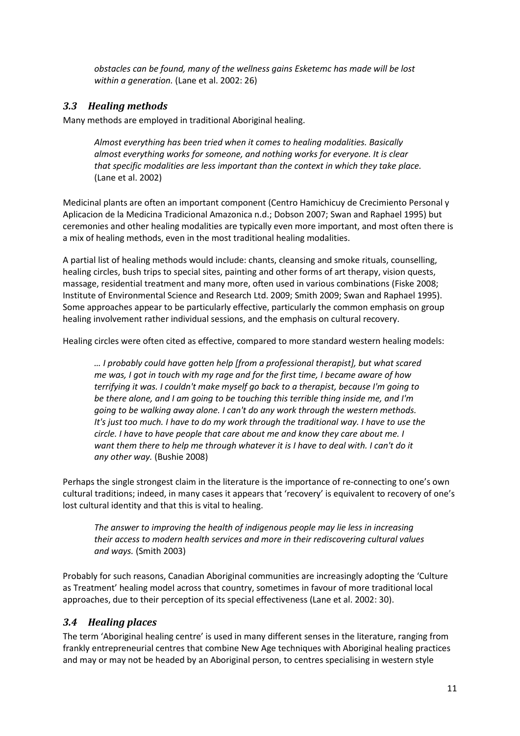*obstacles can be found, many of the wellness gains Esketemc has made will be lost within a generation.* [\(Lane et al. 2002: 26\)](#page-28-0)

#### *3.3 Healing methods*

Many methods are employed in traditional Aboriginal healing.

*Almost everything has been tried when it comes to healing modalities. Basically almost everything works for someone, and nothing works for everyone. It is clear that specific modalities are less important than the context in which they take place.*  [\(Lane et al. 2002\)](#page-28-0)

Medicinal plants are often an important component [\(Centro Hamichicuy de Crecimiento Personal y](#page-25-10)  [Aplicacion de la Medicina Tradicional Amazonica n.d.;](#page-25-10) [Dobson 2007;](#page-26-5) [Swan and Raphael 1995\)](#page-31-5) but ceremonies and other healing modalities are typically even more important, and most often there is a mix of healing methods, even in the most traditional healing modalities.

A partial list of healing methods would include: chants, cleansing and smoke rituals, counselling, healing circles, bush trips to special sites, painting and other forms of art therapy, vision quests, massage, residential treatment and many more, often used in various combinations [\(Fiske 2008;](#page-27-2) [Institute of Environmental Science and Research](#page-27-8) Ltd. 2009[; Smith 2009;](#page-30-4) [Swan and Raphael 1995\)](#page-31-5). Some approaches appear to be particularly effective, particularly the common emphasis on group healing involvement rather individual sessions, and the emphasis on cultural recovery.

Healing circles were often cited as effective, compared to more standard western healing models:

*… I probably could have gotten help [from a professional therapist], but what scared me was, I got in touch with my rage and for the first time, I became aware of how terrifying it was. I couldn't make myself go back to a therapist, because I'm going to be there alone, and I am going to be touching this terrible thing inside me, and I'm going to be walking away alone. I can't do any work through the western methods. It's just too much. I have to do my work through the traditional way. I have to use the circle. I have to have people that care about me and know they care about me. I want them there to help me through whatever it is I have to deal with. I can't do it any other way.* [\(Bushie 2008\)](#page-25-9)

Perhaps the single strongest claim in the literature is the importance of re-connecting to one's own cultural traditions; indeed, in many cases it appears that 'recovery' is equivalent to recovery of one's lost cultural identity and that this is vital to healing.

*The answer to improving the health of indigenous people may lie less in increasing their access to modern health services and more in their rediscovering cultural values and ways.* [\(Smith 2003\)](#page-30-9)

Probably for such reasons, Canadian Aboriginal communities are increasingly adopting the 'Culture as Treatment' healing model across that country, sometimes in favour of more traditional local approaches, due to their perception of its special effectiveness [\(Lane et al. 2002: 30\)](#page-28-0).

#### *3.4 Healing places*

The term 'Aboriginal healing centre' is used in many different senses in the literature, ranging from frankly entrepreneurial centres that combine New Age techniques with Aboriginal healing practices and may or may not be headed by an Aboriginal person, to centres specialising in western style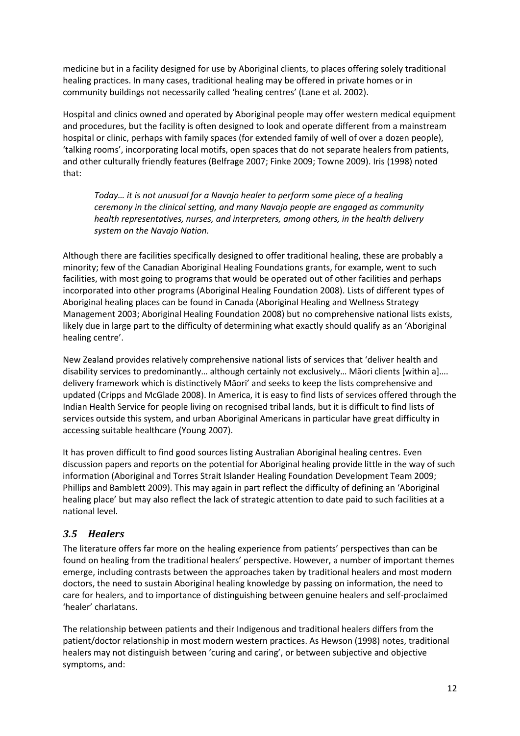medicine but in a facility designed for use by Aboriginal clients, to places offering solely traditional healing practices. In many cases, traditional healing may be offered in private homes or in community buildings not necessarily called 'healing centres' [\(Lane et al. 2002\)](#page-28-0).

Hospital and clinics owned and operated by Aboriginal people may offer western medical equipment and procedures, but the facility is often designed to look and operate different from a mainstream hospital or clinic, perhaps with family spaces (for extended family of well of over a dozen people), 'talking rooms', incorporating local motifs, open spaces that do not separate healers from patients, and other culturally friendly features [\(Belfrage 2007;](#page-25-11) [Finke 2009;](#page-26-6) [Towne 2009\)](#page-31-9). Iris [\(1998\)](#page-28-10) noted that:

*Today… it is not unusual for a Navajo healer to perform some piece of a healing ceremony in the clinical setting, and many Navajo people are engaged as community health representatives, nurses, and interpreters, among others, in the health delivery system on the Navajo Nation.* 

Although there are facilities specifically designed to offer traditional healing, these are probably a minority; few of the Canadian Aboriginal Healing Foundations grants, for example, went to such facilities, with most going to programs that would be operated out of other facilities and perhaps incorporated into other programs [\(Aboriginal Healing Foundation 2008\)](#page-24-3). Lists of different types of Aboriginal healing places can be found in Canada [\(Aboriginal Healing and Wellness Strategy](#page-24-1)  [Management 2003;](#page-24-1) [Aboriginal Healing Foundation 2008\)](#page-24-3) but no comprehensive national lists exists, likely due in large part to the difficulty of determining what exactly should qualify as an 'Aboriginal healing centre'.

New Zealand provides relatively comprehensive national lists of services that 'deliver health and disability services to predominantly… although certainly not exclusively… Māori clients [within a]…. delivery framework which is distinctively Māori' and seeks to keep the lists comprehensive and updated [\(Cripps and McGlade 2008\)](#page-26-7). In America, it is easy to find lists of services offered through the Indian Health Service for people living on recognised tribal lands, but it is difficult to find lists of services outside this system, and urban Aboriginal Americans in particular have great difficulty in accessing suitable healthcare [\(Young](#page-32-0) 2007).

It has proven difficult to find good sources listing Australian Aboriginal healing centres. Even discussion papers and reports on the potential for Aboriginal healing provide little in the way of such information [\(Aboriginal and Torres Strait Islander Healing Foundation Development Team 2009;](#page-24-0) [Phillips and Bamblett 2009\)](#page-30-10). This may again in part reflect the difficulty of defining an 'Aboriginal healing place' but may also reflect the lack of strategic attention to date paid to such facilities at a national level.

### *3.5 Healers*

The literature offers far more on the healing experience from patients' perspectives than can be found on healing from the traditional healers' perspective. However, a number of important themes emerge, including contrasts between the approaches taken by traditional healers and most modern doctors, the need to sustain Aboriginal healing knowledge by passing on information, the need to care for healers, and to importance of distinguishing between genuine healers and self-proclaimed 'healer' charlatans.

The relationship between patients and their Indigenous and traditional healers differs from the patient/doctor relationship in most modern western practices. As Hewson [\(1998\)](#page-27-4) notes, traditional healers may not distinguish between 'curing and caring', or between subjective and objective symptoms, and: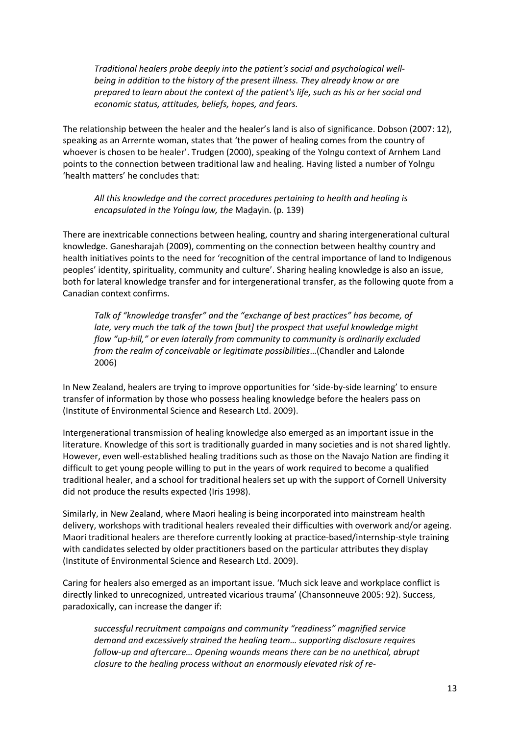*Traditional healers probe deeply into the patient's social and psychological wellbeing in addition to the history of the present illness. They already know or are prepared to learn about the context of the patient's life, such as his or her social and economic status, attitudes, beliefs, hopes, and fears.* 

The relationship between the healer and the healer's land is also of significance. Dobson [\(2007: 12\)](#page-26-5), speaking as an Arrernte woman, states that 'the power of healing comes from the country of whoever is chosen to be healer'. Trudgen [\(2000\)](#page-31-10), speaking of the Yolngu context of Arnhem Land points to the connection between traditional law and healing. Having listed a number of Yolngu 'health matters' he concludes that:

*All this knowledge and the correct procedures pertaining to health and healing is encapsulated in the Yolngu law, the* Madayin. (p. 139)

There are inextricable connections between healing, country and sharing intergenerational cultural knowledge. Ganesharajah [\(2009\)](#page-27-9), commenting on the connection between healthy country and health initiatives points to the need for 'recognition of the central importance of land to Indigenous peoples' identity, spirituality, community and culture'. Sharing healing knowledge is also an issue, both for lateral knowledge transfer and for intergenerational transfer, as the following quote from a Canadian context confirms.

*Talk of "knowledge transfer" and the "exchange of best practices" has become, of late, very much the talk of the town [but] the prospect that useful knowledge might flow "up-hill," or even laterally from community to community is ordinarily excluded from the realm of conceivable or legitimate possibilities*…[\(Chandler and Lalonde](#page-26-4)  [2006\)](#page-26-4)

In New Zealand, healers are trying to improve opportunities for 'side-by-side learning' to ensure transfer of information by those who possess healing knowledge before the healers pass on (Institute [of Environmental Science and Research Ltd. 2009\)](#page-27-8).

Intergenerational transmission of healing knowledge also emerged as an important issue in the literature. Knowledge of this sort is traditionally guarded in many societies and is not shared lightly. However, even well-established healing traditions such as those on the Navajo Nation are finding it difficult to get young people willing to put in the years of work required to become a qualified traditional healer, and a school for traditional healers set up with the support of Cornell University did not produce the results expected [\(Iris 1998\)](#page-28-10).

Similarly, in New Zealand, where Maori healing is being incorporated into mainstream health delivery, workshops with traditional healers revealed their difficulties with overwork and/or ageing. Maori traditional healers are therefore currently looking at practice-based/internship-style training with candidates selected by older practitioners based on the particular attributes they display [\(Institute of Environmental Science and Research Ltd. 2009\)](#page-27-8).

Caring for healers also emerged as an important issue. 'Much sick leave and workplace conflict is directly linked to unrecognized, untreated vicarious trauma' [\(Chansonneuve 2005: 92\)](#page-26-0). Success, paradoxically, can increase the danger if:

*successful recruitment campaigns and community "readiness" magnified service demand and excessively strained the healing team… supporting disclosure requires follow-up and aftercare… Opening wounds means there can be no unethical, abrupt closure to the healing process without an enormously elevated risk of re-*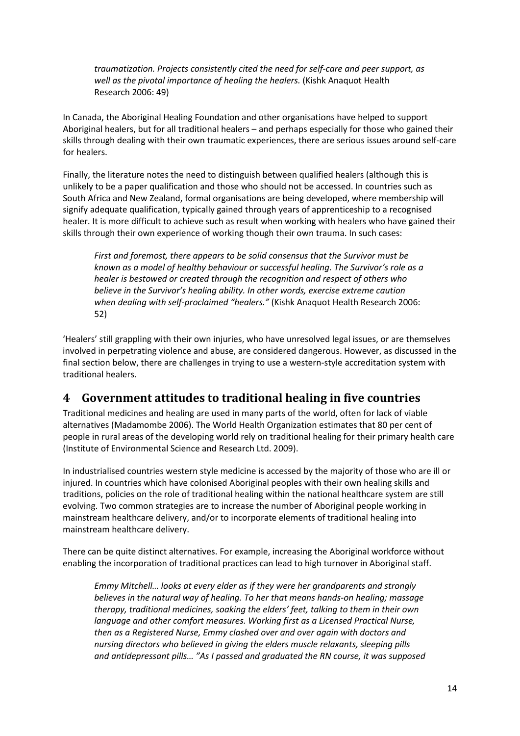*traumatization. Projects consistently cited the need for self-care and peer support, as well as the pivotal importance of healing the healers.* [\(Kishk Anaquot Health](#page-28-11)  [Research 2006: 49\)](#page-28-11)

In Canada, the Aboriginal Healing Foundation and other organisations have helped to support Aboriginal healers, but for all traditional healers – and perhaps especially for those who gained their skills through dealing with their own traumatic experiences, there are serious issues around self-care for healers.

Finally, the literature notes the need to distinguish between qualified healers (although this is unlikely to be a paper qualification and those who should not be accessed. In countries such as South Africa and New Zealand, formal organisations are being developed, where membership will signify adequate qualification, typically gained through years of apprenticeship to a recognised healer. It is more difficult to achieve such as result when working with healers who have gained their skills through their own experience of working though their own trauma. In such cases:

*First and foremost, there appears to be solid consensus that the Survivor must be known as a model of healthy behaviour or successful healing. The Survivor's role as a healer is bestowed or created through the recognition and respect of others who believe in the Survivor's healing ability. In other words, exercise extreme caution when dealing with self-proclaimed "healers."* [\(Kishk Anaquot Health Research 2006:](#page-28-11)  [52\)](#page-28-11)

'Healers' still grappling with their own injuries, who have unresolved legal issues, or are themselves involved in perpetrating violence and abuse, are considered dangerous. However, as discussed in the final section below, there are challenges in trying to use a western-style accreditation system with traditional healers.

# **4 Government attitudes to traditional healing in five countries**

Traditional medicines and healing are used in many parts of the world, often for lack of viable alternatives [\(Madamombe 2006\)](#page-28-12). The World Health Organization estimates that 80 per cent of people in rural areas of the developing world rely on traditional healing for their primary health care [\(Institute of Environmental Science and Research Ltd. 2009\)](#page-27-8).

In industrialised countries western style medicine is accessed by the majority of those who are ill or injured. In countries which have colonised Aboriginal peoples with their own healing skills and traditions, policies on the role of traditional healing within the national healthcare system are still evolving. Two common strategies are to increase the number of Aboriginal people working in mainstream healthcare delivery, and/or to incorporate elements of traditional healing into mainstream healthcare delivery.

There can be quite distinct alternatives. For example, increasing the Aboriginal workforce without enabling the incorporation of traditional practices can lead to high turnover in Aboriginal staff.

*Emmy Mitchell… looks at every elder as if they were her grandparents and strongly believes in the natural way of healing. To her that means hands-on healing; massage therapy, traditional medicines, soaking the elders' feet, talking to them in their own language and other comfort measures. Working first as a Licensed Practical Nurse, then as a Registered Nurse, Emmy clashed over and over again with doctors and nursing directors who believed in giving the elders muscle relaxants, sleeping pills and antidepressant pills… "As I passed and graduated the RN course, it was supposed*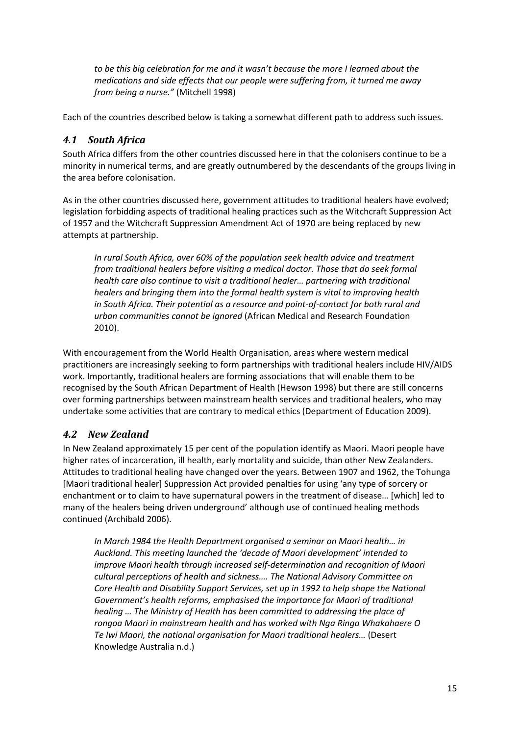*to be this big celebration for me and it wasn't because the more I learned about the medications and side effects that our people were suffering from, it turned me away from being a nurse."* [\(Mitchell 1998\)](#page-29-11)

Each of the countries described below is taking a somewhat different path to address such issues.

### *4.1 South Africa*

South Africa differs from the other countries discussed here in that the colonisers continue to be a minority in numerical terms, and are greatly outnumbered by the descendants of the groups living in the area before colonisation.

As in the other countries discussed here, government attitudes to traditional healers have evolved; legislation forbidding aspects of traditional healing practices such as the Witchcraft Suppression Act of 1957 and the Witchcraft Suppression Amendment Act of 1970 are being replaced by new attempts at partnership.

*In rural South Africa, over 60% of the population seek health advice and treatment from traditional healers before visiting a medical doctor. Those that do seek formal health care also continue to visit a traditional healer… partnering with traditional healers and bringing them into the formal health system is vital to improving health in South Africa. Their potential as a resource and point-of-contact for both rural and urban communities cannot be ignored* [\(African Medical and Research Foundation](#page-25-12)  [2010\)](#page-25-12).

With encouragement from the World Health Organisation, areas where western medical practitioners are increasingly seeking to form partnerships with traditional healers include HIV/AIDS work. Importantly, traditional healers are forming associations that will enable them to be recognised by the South African Department of Health [\(Hewson 1998\)](#page-27-4) but there are still concerns over forming partnerships between mainstream health services and traditional healers, who may undertake some activities that are contrary to medical ethics [\(Department of Education 2009\)](#page-26-8).

# *4.2 New Zealand*

In New Zealand approximately 15 per cent of the population identify as Maori. Maori people have higher rates of incarceration, ill health, early mortality and suicide, than other New Zealanders. Attitudes to traditional healing have changed over the years. Between 1907 and 1962, the Tohunga [Maori traditional healer] Suppression Act provided penalties for using 'any type of sorcery or enchantment or to claim to have supernatural powers in the treatment of disease… [which] led to many of the healers being driven underground' although use of continued healing methods continued [\(Archibald 2006\)](#page-25-6).

*In March 1984 the Health Department organised a seminar on Maori health… in Auckland. This meeting launched the 'decade of Maori development' intended to improve Maori health through increased self-determination and recognition of Maori cultural perceptions of health and sickness…. The National Advisory Committee on Core Health and Disability Support Services, set up in 1992 to help shape the National Government's health reforms, emphasised the importance for Maori of traditional healing … The Ministry of Health has been committed to addressing the place of rongoa Maori in mainstream health and has worked with Nga Ringa Whakahaere O Te Iwi Maori, the national organisation for Maori traditional healers…* [\(Desert](#page-26-9)  [Knowledge Australia n.d.\)](#page-26-9)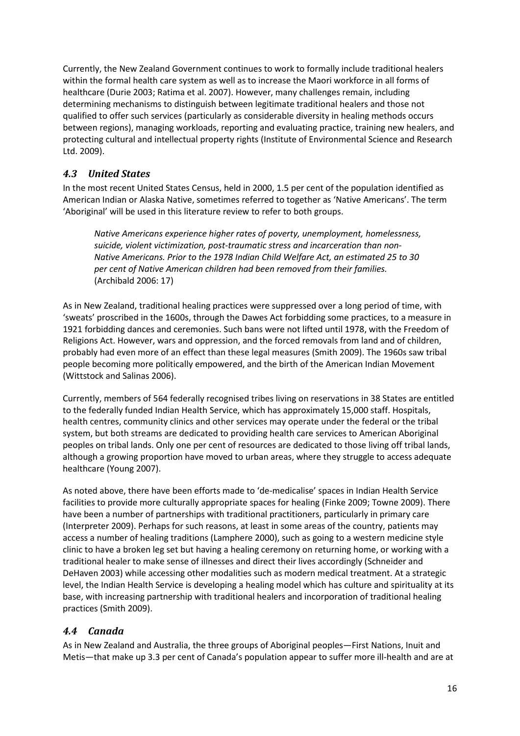Currently, the New Zealand Government continues to work to formally include traditional healers within the formal health care system as well as to increase the Maori workforce in all forms of healthcare [\(Durie 2003;](#page-26-10) [Ratima et al. 2007\)](#page-30-11). However, many challenges remain, including determining mechanisms to distinguish between legitimate traditional healers and those not qualified to offer such services (particularly as considerable diversity in healing methods occurs between regions), managing workloads, reporting and evaluating practice, training new healers, and protecting cultural and intellectual property rights [\(Institute of Environmental Science and Research](#page-27-8)  [Ltd. 2009\)](#page-27-8).

### *4.3 United States*

In the most recent United States Census, held in 2000, 1.5 per cent of the population identified as American Indian or Alaska Native, sometimes referred to together as 'Native Americans'. The term 'Aboriginal' will be used in this literature review to refer to both groups.

*Native Americans experience higher rates of poverty, unemployment, homelessness, suicide, violent victimization, post-traumatic stress and incarceration than non-Native Americans. Prior to the 1978 Indian Child Welfare Act, an estimated 25 to 30 per cent of Native American children had been removed from their families.* [\(Archibald 2006: 17\)](#page-25-6)

As in New Zealand, traditional healing practices were suppressed over a long period of time, with 'sweats' proscribed in the 1600s, through the Dawes Act forbidding some practices, to a measure in 1921 forbidding dances and ceremonies. Such bans were not lifted until 1978, with the Freedom of Religions Act. However, wars and oppression, and the forced removals from land and of children, probably had even more of an effect than these legal measures [\(Smith 2009\)](#page-30-4). The 1960s saw tribal people becoming more politically empowered, and the birth of the American Indian Movement [\(Wittstock and Salinas 2006\)](#page-31-11).

Currently, members of 564 federally recognised tribes living on reservations in 38 States are entitled to the federally funded Indian Health Service, which has approximately 15,000 staff. Hospitals, health centres, community clinics and other services may operate under the federal or the tribal system, but both streams are dedicated to providing health care services to American Aboriginal peoples on tribal lands. Only one per cent of resources are dedicated to those living off tribal lands, although a growing proportion have moved to urban areas, where they struggle to access adequate healthcare [\(Young 2007\)](#page-32-0).

As noted above, there have been efforts made to 'de-medicalise' spaces in Indian Health Service facilities to provide more culturally appropriate spaces for healing [\(Finke 2009;](#page-26-6) [Towne 2009\)](#page-31-9). There have been a number of partnerships with traditional practitioners, particularly in primary care [\(Interpreter 2009\)](#page-28-13). Perhaps for such reasons, at least in some areas of the country, patients may access a number of healing traditions [\(Lamphere 2000\)](#page-28-14), such as going to a western medicine style clinic to have a broken leg set but having a healing ceremony on returning home, or working with a traditional healer to make sense of illnesses and direct their lives accordingly [\(Schneider and](#page-30-12)  [DeHaven 2003\)](#page-30-12) while accessing other modalities such as modern medical treatment. At a strategic level, the Indian Health Service is developing a healing model which has culture and spirituality at its base, with increasing partnership with traditional healers and incorporation of traditional healing practices [\(Smith 2009\)](#page-30-4).

### *4.4 Canada*

As in New Zealand and Australia, the three groups of Aboriginal peoples—First Nations, Inuit and Metis—that make up 3.3 per cent of Canada's population appear to suffer more ill-health and are at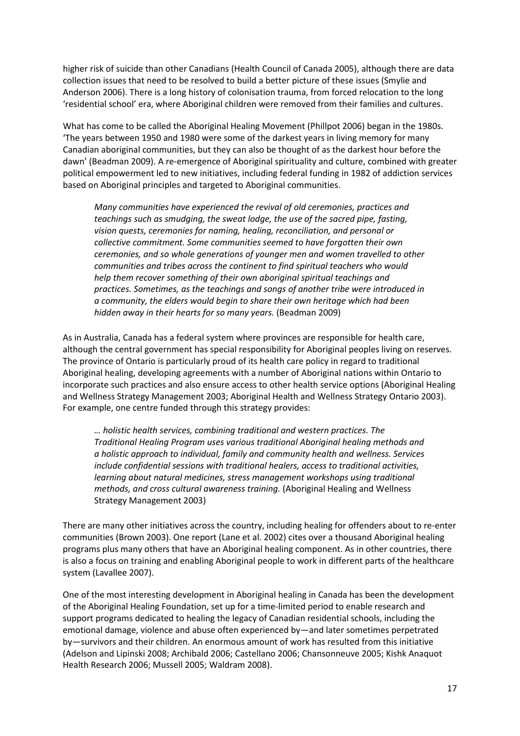higher risk of suicide than other Canadians [\(Health Council of Canada 2005\)](#page-27-10), although there are data collection issues that need to be resolved to build a better picture of these issues [\(Smylie and](#page-30-13)  [Anderson 2006\)](#page-30-13). There is a long history of colonisation trauma, from forced relocation to the long 'residential school' era, where Aboriginal children were removed from their families and cultures.

What has come to be called the Aboriginal Healing Movement [\(Phillpot 2006\)](#page-30-14) began in the 1980s. 'The years between 1950 and 1980 were some of the darkest years in living memory for many Canadian aboriginal communities, but they can also be thought of as the darkest hour before the dawn' [\(Beadman 2009\)](#page-25-13). A re-emergence of Aboriginal spirituality and culture, combined with greater political empowerment led to new initiatives, including federal funding in 1982 of addiction services based on Aboriginal principles and targeted to Aboriginal communities.

*Many communities have experienced the revival of old ceremonies, practices and teachings such as smudging, the sweat lodge, the use of the sacred pipe, fasting, vision quests, ceremonies for naming, healing, reconciliation, and personal or collective commitment. Some communities seemed to have forgotten their own ceremonies, and so whole generations of younger men and women travelled to other communities and tribes across the continent to find spiritual teachers who would help them recover something of their own aboriginal spiritual teachings and practices. Sometimes, as the teachings and songs of another tribe were introduced in a community, the elders would begin to share their own heritage which had been hidden away in their hearts for so many years.* [\(Beadman 2009\)](#page-25-13)

As in Australia, Canada has a federal system where provinces are responsible for health care, although the central government has special responsibility for Aboriginal peoples living on reserves. The province of Ontario is particularly proud of its health care policy in regard to traditional Aboriginal healing, developing agreements with a number of Aboriginal nations within Ontario to incorporate such practices and also ensure access to other health service options [\(Aboriginal Healing](#page-24-1)  [and Wellness Strategy Management 2003;](#page-24-1) [Aboriginal Health and Wellness Strategy Ontario 2003\)](#page-25-14). For example, one centre funded through this strategy provides:

*… holistic health services, combining traditional and western practices. The Traditional Healing Program uses various traditional Aboriginal healing methods and a holistic approach to individual, family and community health and wellness. Services include confidential sessions with traditional healers, access to traditional activities, learning about natural medicines, stress management workshops using traditional methods, and cross cultural awareness training.* [\(Aboriginal Healing and Wellness](#page-24-1)  [Strategy Management 2003\)](#page-24-1)

There are many other initiatives across the country, including healing for offenders about to re-enter communities [\(Brown](#page-25-15) 2003). One report [\(Lane et al. 2002\)](#page-28-0) cites over a thousand Aboriginal healing programs plus many others that have an Aboriginal healing component. As in other countries, there is also a focus on training and enabling Aboriginal people to work in different parts of the healthcare system [\(Lavallee 2007\)](#page-28-15).

One of the most interesting development in Aboriginal healing in Canada has been the development of the Aboriginal Healing Foundation, set up for a time-limited period to enable research and support programs dedicated to healing the legacy of Canadian residential schools, including the emotional damage, violence and abuse often experienced by—and later sometimes perpetrated by—survivors and their children. An enormous amount of work has resulted from this initiative [\(Adelson and Lipinski 2008;](#page-25-4) [Archibald 2006;](#page-25-6) [Castellano 2006;](#page-25-5) [Chansonneuve 2005;](#page-26-0) [Kishk Anaquot](#page-28-11)  [Health Research 2006;](#page-28-11) [Mussell 2005;](#page-29-9) [Waldram 2008\)](#page-31-4).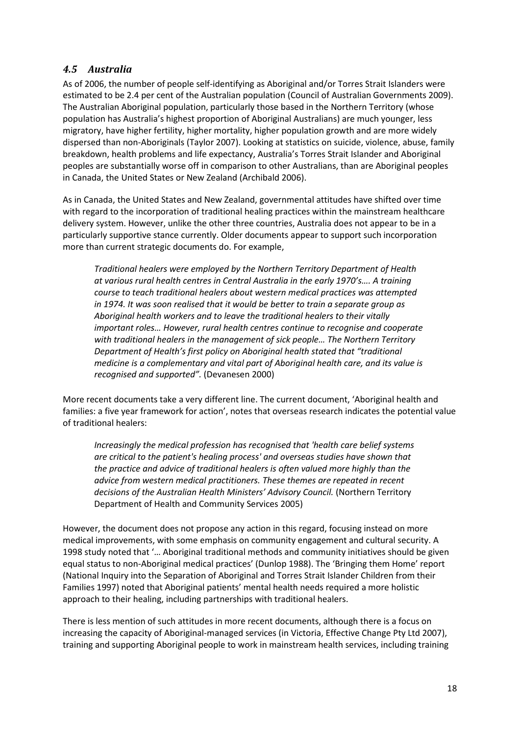#### *4.5 Australia*

As of 2006, the number of people self-identifying as Aboriginal and/or Torres Strait Islanders were estimated to be 2.4 per cent of the Australian population [\(Council of Australian Governments 2009\)](#page-26-11). The Australian Aboriginal population, particularly those based in the Northern Territory (whose population has Australia's highest proportion of Aboriginal Australians) are much younger, less migratory, have higher fertility, higher mortality, higher population growth and are more widely dispersed than non-Aboriginals [\(Taylor 2007\)](#page-31-12). Looking at statistics on suicide, violence, abuse, family breakdown, health problems and life expectancy, Australia's Torres Strait Islander and Aboriginal peoples are substantially worse off in comparison to other Australians, than are Aboriginal peoples in Canada, the United States or New Zealand [\(Archibald 2006\)](#page-25-6).

As in Canada, the United States and New Zealand, governmental attitudes have shifted over time with regard to the incorporation of traditional healing practices within the mainstream healthcare delivery system. However, unlike the other three countries, Australia does not appear to be in a particularly supportive stance currently. Older documents appear to support such incorporation more than current strategic documents do. For example,

*Traditional healers were employed by the Northern Territory Department of Health at various rural health centres in Central Australia in the early 1970's…. A training course to teach traditional healers about western medical practices was attempted in 1974. It was soon realised that it would be better to train a separate group as Aboriginal health workers and to leave the traditional healers to their vitally important roles… However, rural health centres continue to recognise and cooperate with traditional healers in the management of sick people… The Northern Territory Department of Health's first policy on Aboriginal health stated that "traditional medicine is a complementary and vital part of Aboriginal health care, and its value is recognised and supported".* [\(Devanesen 2000\)](#page-26-12)

More recent documents take a very different line. The current document, 'Aboriginal health and families: a five year framework for action', notes that overseas research indicates the potential value of traditional healers:

*Increasingly the medical profession has recognised that 'health care belief systems are critical to the patient's healing process' and overseas studies have shown that the practice and advice of traditional healers is often valued more highly than the advice from western medical practitioners. These themes are repeated in recent decisions of the Australian Health Ministers' Advisory Council.* [\(Northern Territory](#page-29-12)  [Department of Health and Community Services 2005\)](#page-29-12)

However, the document does not propose any action in this regard, focusing instead on more medical improvements, with some emphasis on community engagement and cultural security. A 1998 study noted that '… Aboriginal traditional methods and community initiatives should be given equal status to non-Aboriginal medical practices' [\(Dunlop 1988\)](#page-26-13). The 'Bringing them Home' report [\(National Inquiry into the Separation of Aboriginal and Torres Strait Islander Children from their](#page-29-7)  [Families 1997\)](#page-29-7) noted that Aboriginal patients' mental health needs required a more holistic approach to their healing, including partnerships with traditional healers.

There is less mention of such attitudes in more recent documents, although there is a focus on increasing the capacity of Aboriginal-managed services [\(in Victoria, Effective Change Pty Ltd 2007\)](#page-26-14), training and supporting Aboriginal people to work in mainstream health services, including training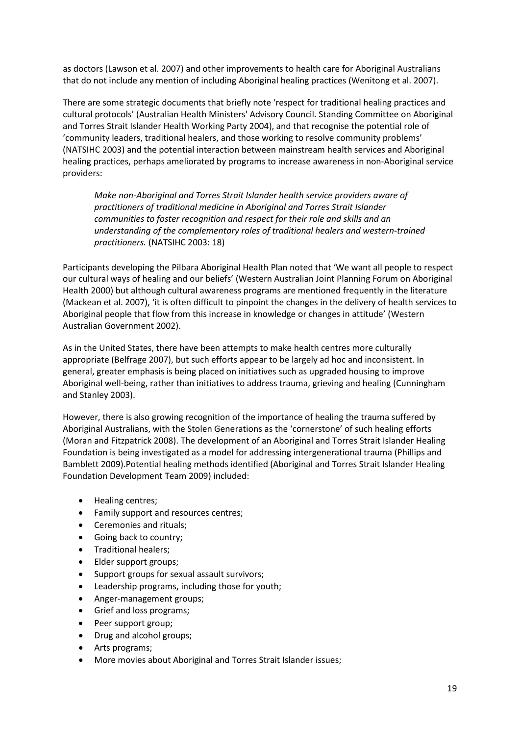as doctors [\(Lawson et al. 2007\)](#page-28-16) and other improvements to health care for Aboriginal Australians that do not include any mention of including Aboriginal healing practices [\(Wenitong et al. 2007\)](#page-31-13).

There are some strategic documents that briefly note 'respect for traditional healing practices and cultural protocols' [\(Australian Health Ministers' Advisory Council. Standing Committee on Aboriginal](#page-25-16)  [and Torres Strait Islander Health Working Party 2004\)](#page-25-16), and that recognise the potential role of 'community leaders, traditional healers, and those working to resolve community problems' [\(NATSIHC 2003\)](#page-29-13) and the potential interaction between mainstream health services and Aboriginal healing practices, perhaps ameliorated by programs to increase awareness in non-Aboriginal service providers:

*Make non-Aboriginal and Torres Strait Islander health service providers aware of practitioners of traditional medicine in Aboriginal and Torres Strait Islander communities to foster recognition and respect for their role and skills and an understanding of the complementary roles of traditional healers and western-trained practitioners.* [\(NATSIHC 2003: 18\)](#page-29-13)

Participants developing the Pilbara Aboriginal Health Plan noted that 'We want all people to respect our cultural ways of healing and our beliefs' [\(Western Australian Joint Planning Forum on Aboriginal](#page-31-14)  [Health](#page-31-14) 2000) but although cultural awareness programs are mentioned frequently in the literature [\(Mackean et al. 2007\)](#page-28-17), 'it is often difficult to pinpoint the changes in the delivery of health services to Aboriginal people that flow from this increase in knowledge or changes in attitude' [\(Western](#page-31-15)  [Australian Government 2002\)](#page-31-15).

As in the United States, there have been attempts to make health centres more culturally appropriate [\(Belfrage 2007\)](#page-25-11), but such efforts appear to be largely ad hoc and inconsistent. In general, greater emphasis is being placed on initiatives such as upgraded housing to improve Aboriginal well-being, rather than initiatives to address trauma, grieving and healing [\(Cunningham](#page-26-15)  [and Stanley 2003\)](#page-26-15).

However, there is also growing recognition of the importance of healing the trauma suffered by Aboriginal Australians, with the Stolen Generations as the 'cornerstone' of such healing efforts [\(Moran and Fitzpatrick 2008\)](#page-29-6). The development of an Aboriginal and Torres Strait Islander Healing Foundation is being investigated as a model for addressing intergenerational trauma [\(Phillips and](#page-30-10)  [Bamblett 2009\)](#page-30-10).Potential healing methods identified [\(Aboriginal and Torres Strait Islander Healing](#page-24-0)  [Foundation Development Team 2009\)](#page-24-0) included:

- Healing centres;
- Family support and resources centres;
- Ceremonies and rituals;
- Going back to country;
- Traditional healers;
- Elder support groups;
- Support groups for sexual assault survivors;
- Leadership programs, including those for youth;
- Anger-management groups;
- Grief and loss programs;
- Peer support group;
- Drug and alcohol groups;
- Arts programs;
- More movies about Aboriginal and Torres Strait Islander issues;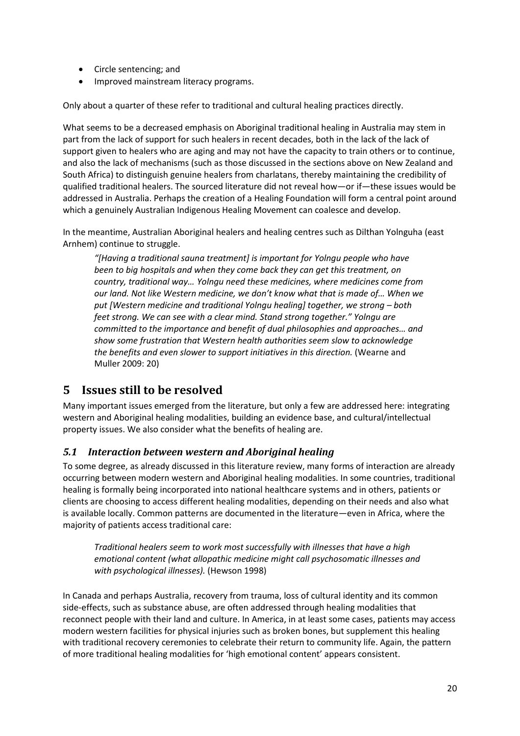- Circle sentencing; and
- Improved mainstream literacy programs.

Only about a quarter of these refer to traditional and cultural healing practices directly.

What seems to be a decreased emphasis on Aboriginal traditional healing in Australia may stem in part from the lack of support for such healers in recent decades, both in the lack of the lack of support given to healers who are aging and may not have the capacity to train others or to continue, and also the lack of mechanisms (such as those discussed in the sections above on New Zealand and South Africa) to distinguish genuine healers from charlatans, thereby maintaining the credibility of qualified traditional healers. The sourced literature did not reveal how—or if—these issues would be addressed in Australia. Perhaps the creation of a Healing Foundation will form a central point around which a genuinely Australian Indigenous Healing Movement can coalesce and develop.

In the meantime, Australian Aboriginal healers and healing centres such as Dilthan Yolnguha (east Arnhem) continue to struggle.

*"[Having a traditional sauna treatment] is important for Yolngu people who have been to big hospitals and when they come back they can get this treatment, on country, traditional way… Yolngu need these medicines, where medicines come from our land. Not like Western medicine, we don't know what that is made of… When we put [Western medicine and traditional Yolngu healing] together, we strong – both feet strong. We can see with a clear mind. Stand strong together." Yolngu are committed to the importance and benefit of dual philosophies and approaches… and show some frustration that Western health authorities seem slow to acknowledge the benefits and even slower to support initiatives in this direction.* [\(Wearne and](#page-31-8)  [Muller 2009: 20\)](#page-31-8)

# **5 Issues still to be resolved**

Many important issues emerged from the literature, but only a few are addressed here: integrating western and Aboriginal healing modalities, building an evidence base, and cultural/intellectual property issues. We also consider what the benefits of healing are.

#### *5.1 Interaction between western and Aboriginal healing*

To some degree, as already discussed in this literature review, many forms of interaction are already occurring between modern western and Aboriginal healing modalities. In some countries, traditional healing is formally being incorporated into national healthcare systems and in others, patients or clients are choosing to access different healing modalities, depending on their needs and also what is available locally. Common patterns are documented in the literature—even in Africa, where the majority of patients access traditional care:

*Traditional healers seem to work most successfully with illnesses that have a high emotional content (what allopathic medicine might call psychosomatic illnesses and with psychological illnesses).* [\(Hewson 1998\)](#page-27-4)

In Canada and perhaps Australia, recovery from trauma, loss of cultural identity and its common side-effects, such as substance abuse, are often addressed through healing modalities that reconnect people with their land and culture. In America, in at least some cases, patients may access modern western facilities for physical injuries such as broken bones, but supplement this healing with traditional recovery ceremonies to celebrate their return to community life. Again, the pattern of more traditional healing modalities for 'high emotional content' appears consistent.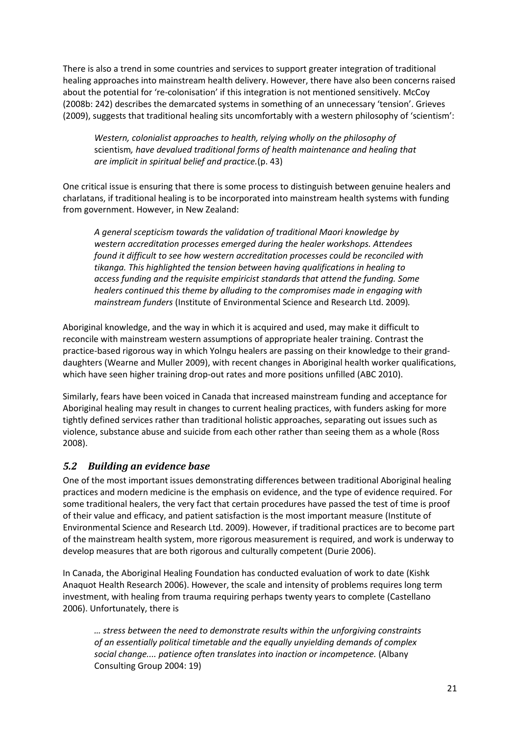There is also a trend in some countries and services to support greater integration of traditional healing approaches into mainstream health delivery. However, there have also been concerns raised about the potential for 're-colonisation' if this integration is not mentioned sensitively. McCoy [\(2008b: 242\)](#page-28-18) describes the demarcated systems in something of an unnecessary 'tension'. Grieves [\(2009\)](#page-27-11), suggests that traditional healing sits uncomfortably with a western philosophy of 'scientism':

*Western, colonialist approaches to health, relying wholly on the philosophy of*  scientism*, have devalued traditional forms of health maintenance and healing that are implicit in spiritual belief and practice.*(p. 43)

One critical issue is ensuring that there is some process to distinguish between genuine healers and charlatans, if traditional healing is to be incorporated into mainstream health systems with funding from government. However, in New Zealand:

*A general scepticism towards the validation of traditional Maori knowledge by western accreditation processes emerged during the healer workshops. Attendees found it difficult to see how western accreditation processes could be reconciled with tikanga. This highlighted the tension between having qualifications in healing to access funding and the requisite empiricist standards that attend the funding. Some healers continued this theme by alluding to the compromises made in engaging with mainstream funders* [\(Institute of Environmental Science and Research Ltd. 2009\)](#page-27-8)*.* 

Aboriginal knowledge, and the way in which it is acquired and used, may make it difficult to reconcile with mainstream western assumptions of appropriate healer training. Contrast the practice-based rigorous way in which Yolngu healers are passing on their knowledge to their granddaughters [\(Wearne and Muller 2009\)](#page-31-8), with recent changes in Aboriginal health worker qualifications, which have seen higher training drop-out rates and more positions unfilled [\(ABC 2010\)](#page-24-4).

Similarly, fears have been voiced in Canada that increased mainstream funding and acceptance for Aboriginal healing may result in changes to current healing practices, with funders asking for more tightly defined services rather than traditional holistic approaches, separating out issues such as violence, substance abuse and suicide from each other rather than seeing them as a whole [\(Ross](#page-30-5)  [2008\)](#page-30-5).

#### *5.2 Building an evidence base*

One of the most important issues demonstrating differences between traditional Aboriginal healing practices and modern medicine is the emphasis on evidence, and the type of evidence required. For some traditional healers, the very fact that certain procedures have passed the test of time is proof of their value and efficacy, and patient satisfaction is the most important measure [\(Institute of](#page-27-8)  [Environmental Science and Research Ltd. 2009\)](#page-27-8). However, if traditional practices are to become part of the mainstream health system, more rigorous measurement is required, and work is underway to develop measures that are both rigorous and culturally competent [\(Durie 2006\)](#page-26-16).

In Canada, the Aboriginal Healing Foundation has conducted evaluation of work to date [\(Kishk](#page-28-11)  [Anaquot Health Research 2006\)](#page-28-11). However, the scale and intensity of problems requires long term investment, with healing from trauma requiring perhaps twenty years to complete [\(Castellano](#page-25-5)  [2006\)](#page-25-5). Unfortunately, there is

*… stress between the need to demonstrate results within the unforgiving constraints of an essentially political timetable and the equally unyielding demands of complex social change.... patience often translates into inaction or incompetence.* [\(Albany](#page-25-17)  [Consulting Group 2004: 19\)](#page-25-17)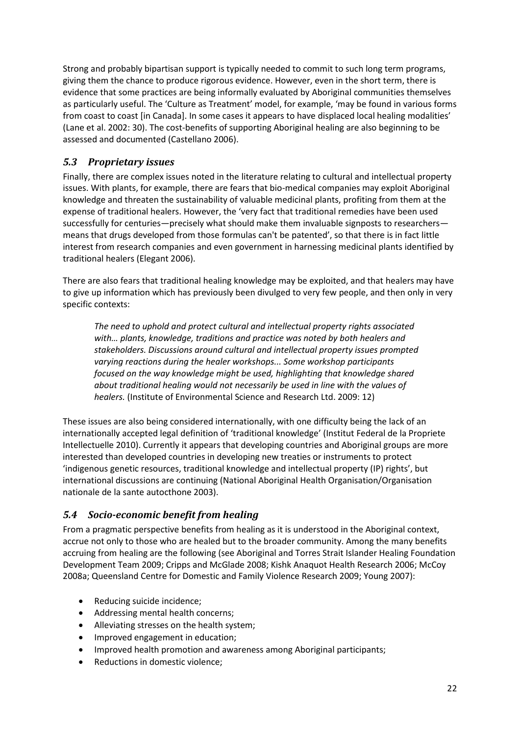Strong and probably bipartisan support is typically needed to commit to such long term programs, giving them the chance to produce rigorous evidence. However, even in the short term, there is evidence that some practices are being informally evaluated by Aboriginal communities themselves as particularly useful. The 'Culture as Treatment' model, for example, 'may be found in various forms from coast to coast [in Canada]. In some cases it appears to have displaced local healing modalities' [\(Lane et al. 2002: 30\)](#page-28-0). The cost-benefits of supporting Aboriginal healing are also beginning to be assessed and documented [\(Castellano 2006\)](#page-25-5).

### *5.3 Proprietary issues*

Finally, there are complex issues noted in the literature relating to cultural and intellectual property issues. With plants, for example, there are fears that bio-medical companies may exploit Aboriginal knowledge and threaten the sustainability of valuable medicinal plants, profiting from them at the expense of traditional healers. However, the 'very fact that traditional remedies have been used successfully for centuries—precisely what should make them invaluable signposts to researchers means that drugs developed from those formulas can't be patented', so that there is in fact little interest from research companies and even government in harnessing medicinal plants identified by traditional healers [\(Elegant 2006\)](#page-26-17).

There are also fears that traditional healing knowledge may be exploited, and that healers may have to give up information which has previously been divulged to very few people, and then only in very specific contexts:

*The need to uphold and protect cultural and intellectual property rights associated with… plants, knowledge, traditions and practice was noted by both healers and stakeholders. Discussions around cultural and intellectual property issues prompted varying reactions during the healer workshops... Some workshop participants focused on the way knowledge might be used, highlighting that knowledge shared about traditional healing would not necessarily be used in line with the values of healers.* [\(Institute of Environmental Science and Research Ltd. 2009: 12\)](#page-27-8)

These issues are also being considered internationally, with one difficulty being the lack of an internationally accepted legal definition of 'traditional knowledge' [\(Institut Federal de la Propriete](#page-27-12)  [Intellectuelle 2010\)](#page-27-12). Currently it appears that developing countries and Aboriginal groups are more interested than developed countries in developing new treaties or instruments to protect 'indigenous genetic resources, traditional knowledge and intellectual property (IP) rights', but international discussions are continuing [\(National Aboriginal Health Organisation/Organisation](#page-29-14)  [nationale de la sante autocthone 2003\)](#page-29-14).

### *5.4 Socio-economic benefit from healing*

From a pragmatic perspective benefits from healing as it is understood in the Aboriginal context, accrue not only to those who are healed but to the broader community. Among the many benefits accruing from healing are the following (see [Aboriginal and Torres Strait Islander Healing Foundation](#page-24-0)  [Development Team 2009;](#page-24-0) [Cripps and McGlade 2008;](#page-26-7) [Kishk Anaquot Health Research 2006;](#page-28-11) [McCoy](#page-28-6)  [2008a;](#page-28-6) [Queensland Centre for Domestic and Family Violence Research 2009;](#page-30-15) [Young 2007\)](#page-32-0):

- Reducing suicide incidence;
- Addressing mental health concerns;
- Alleviating stresses on the health system;
- Improved engagement in education;
- Improved health promotion and awareness among Aboriginal participants;
- Reductions in domestic violence;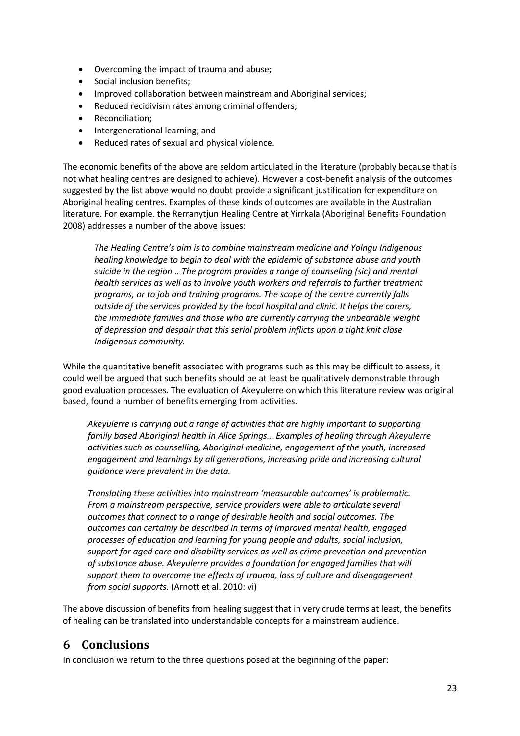- Overcoming the impact of trauma and abuse;
- Social inclusion benefits;
- Improved collaboration between mainstream and Aboriginal services;
- Reduced recidivism rates among criminal offenders;
- Reconciliation;
- Intergenerational learning; and
- Reduced rates of sexual and physical violence.

The economic benefits of the above are seldom articulated in the literature (probably because that is not what healing centres are designed to achieve). However a cost-benefit analysis of the outcomes suggested by the list above would no doubt provide a significant justification for expenditure on Aboriginal healing centres. Examples of these kinds of outcomes are available in the Australian literature. For example. the Rerranytjun Healing Centre at Yirrkala [\(Aboriginal Benefits Foundation](#page-24-2)  [2008\)](#page-24-2) addresses a number of the above issues:

*The Healing Centre's aim is to combine mainstream medicine and Yolngu Indigenous healing knowledge to begin to deal with the epidemic of substance abuse and youth suicide in the region... The program provides a range of counseling (sic) and mental health services as well as to involve youth workers and referrals to further treatment programs, or to job and training programs. The scope of the centre currently falls outside of the services provided by the local hospital and clinic. It helps the carers, the immediate families and those who are currently carrying the unbearable weight of depression and despair that this serial problem inflicts upon a tight knit close Indigenous community.* 

While the quantitative benefit associated with programs such as this may be difficult to assess, it could well be argued that such benefits should be at least be qualitatively demonstrable through good evaluation processes. The evaluation of Akeyulerre on which this literature review was original based, found a number of benefits emerging from activities.

*Akeyulerre is carrying out a range of activities that are highly important to supporting family based Aboriginal health in Alice Springs… Examples of healing through Akeyulerre activities such as counselling, Aboriginal medicine, engagement of the youth, increased engagement and learnings by all generations, increasing pride and increasing cultural guidance were prevalent in the data.* 

*Translating these activities into mainstream 'measurable outcomes' is problematic. From a mainstream perspective, service providers were able to articulate several outcomes that connect to a range of desirable health and social outcomes. The outcomes can certainly be described in terms of improved mental health, engaged processes of education and learning for young people and adults, social inclusion, support for aged care and disability services as well as crime prevention and prevention of substance abuse. Akeyulerre provides a foundation for engaged families that will support them to overcome the effects of trauma, loss of culture and disengagement from social supports.* [\(Arnott et al. 2010: vi\)](#page-25-18)

The above discussion of benefits from healing suggest that in very crude terms at least, the benefits of healing can be translated into understandable concepts for a mainstream audience.

# **6 Conclusions**

In conclusion we return to the three questions posed at the beginning of the paper: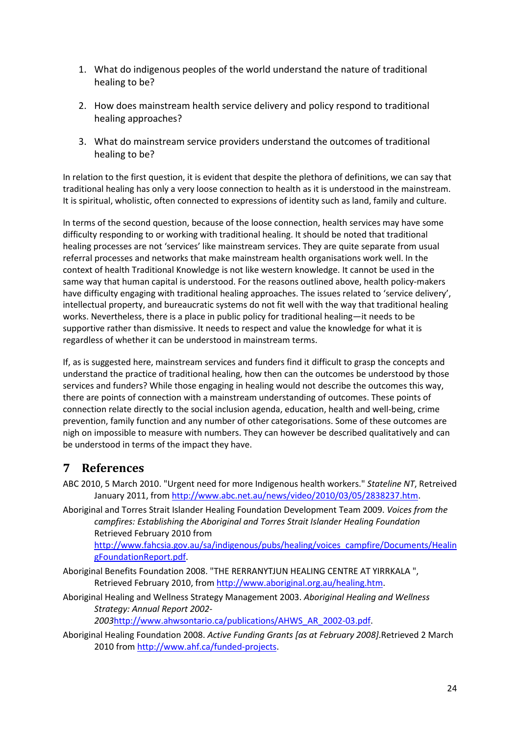- 1. What do indigenous peoples of the world understand the nature of traditional healing to be?
- 2. How does mainstream health service delivery and policy respond to traditional healing approaches?
- 3. What do mainstream service providers understand the outcomes of traditional healing to be?

In relation to the first question, it is evident that despite the plethora of definitions, we can say that traditional healing has only a very loose connection to health as it is understood in the mainstream. It is spiritual, wholistic, often connected to expressions of identity such as land, family and culture.

In terms of the second question, because of the loose connection, health services may have some difficulty responding to or working with traditional healing. It should be noted that traditional healing processes are not 'services' like mainstream services. They are quite separate from usual referral processes and networks that make mainstream health organisations work well. In the context of health Traditional Knowledge is not like western knowledge. It cannot be used in the same way that human capital is understood. For the reasons outlined above, health policy-makers have difficulty engaging with traditional healing approaches. The issues related to 'service delivery', intellectual property, and bureaucratic systems do not fit well with the way that traditional healing works. Nevertheless, there is a place in public policy for traditional healing—it needs to be supportive rather than dismissive. It needs to respect and value the knowledge for what it is regardless of whether it can be understood in mainstream terms.

If, as is suggested here, mainstream services and funders find it difficult to grasp the concepts and understand the practice of traditional healing, how then can the outcomes be understood by those services and funders? While those engaging in healing would not describe the outcomes this way, there are points of connection with a mainstream understanding of outcomes. These points of connection relate directly to the social inclusion agenda, education, health and well-being, crime prevention, family function and any number of other categorisations. Some of these outcomes are nigh on impossible to measure with numbers. They can however be described qualitatively and can be understood in terms of the impact they have.

# **7 References**

- <span id="page-24-4"></span>ABC 2010, 5 March 2010. "Urgent need for more Indigenous health workers." *Stateline NT*, Retreived January 2011, fro[m http://www.abc.net.au/news/video/2010/03/05/2838237.htm.](http://www.abc.net.au/news/video/2010/03/05/2838237.htm)
- <span id="page-24-0"></span>Aboriginal and Torres Strait Islander Healing Foundation Development Team 2009. *Voices from the campfires: Establishing the Aboriginal and Torres Strait Islander Healing Foundation*  Retrieved February 2010 from

[http://www.fahcsia.gov.au/sa/indigenous/pubs/healing/voices\\_campfire/Documents/Healin](http://www.fahcsia.gov.au/sa/indigenous/pubs/healing/voices_campfire/Documents/HealingFoundationReport.pdf) [gFoundationReport.pdf.](http://www.fahcsia.gov.au/sa/indigenous/pubs/healing/voices_campfire/Documents/HealingFoundationReport.pdf)

- <span id="page-24-2"></span>Aboriginal Benefits Foundation 2008. "THE RERRANYTJUN HEALING CENTRE AT YIRRKALA ", Retrieved February 2010, from [http://www.aboriginal.org.au/healing.htm.](http://www.aboriginal.org.au/healing.htm)
- <span id="page-24-1"></span>Aboriginal Healing and Wellness Strategy Management 2003. *Aboriginal Healing and Wellness Strategy: Annual Report 2002-*

*2003*[http://www.ahwsontario.ca/publications/AHWS\\_AR\\_2002-03.pdf.](http://www.ahwsontario.ca/publications/AHWS_AR_2002-03.pdf)

<span id="page-24-3"></span>Aboriginal Healing Foundation 2008. *Active Funding Grants [as at February 2008]*.Retrieved 2 March 2010 from [http://www.ahf.ca/funded-projects.](http://www.ahf.ca/funded-projects)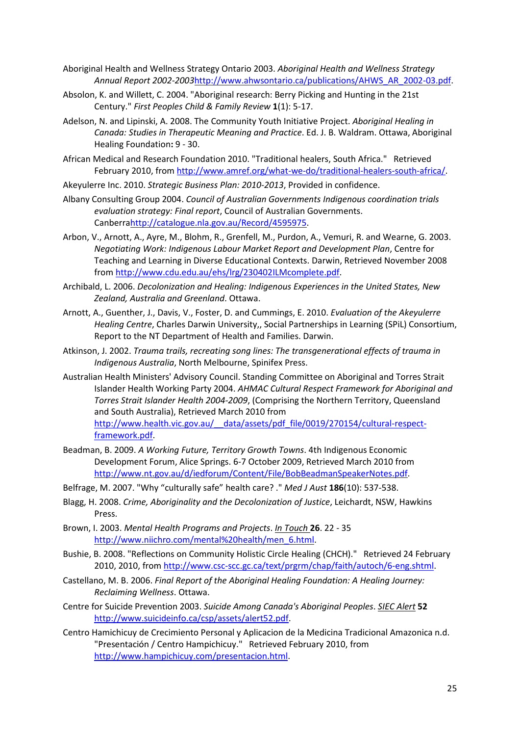- <span id="page-25-14"></span>Aboriginal Health and Wellness Strategy Ontario 2003. *Aboriginal Health and Wellness Strategy Annual Report 2002-2003*[http://www.ahwsontario.ca/publications/AHWS\\_AR\\_2002-03.pdf.](http://www.ahwsontario.ca/publications/AHWS_AR_2002-03.pdf)
- <span id="page-25-3"></span>Absolon, K. and Willett, C. 2004. "Aboriginal research: Berry Picking and Hunting in the 21st Century." *First Peoples Child & Family Review* **1**(1): 5-17.
- <span id="page-25-4"></span>Adelson, N. and Lipinski, A. 2008. The Community Youth Initiative Project. *Aboriginal Healing in Canada: Studies in Therapeutic Meaning and Practice*. Ed. J. B. Waldram. Ottawa, Aboriginal Healing Foundation**:** 9 - 30.
- <span id="page-25-12"></span>African Medical and Research Foundation 2010. "Traditional healers, South Africa." Retrieved February 2010, from [http://www.amref.org/what-we-do/traditional-healers-south-africa/.](http://www.amref.org/what-we-do/traditional-healers-south-africa/)
- <span id="page-25-2"></span>Akeyulerre Inc. 2010. *Strategic Business Plan: 2010-2013*, Provided in confidence.
- <span id="page-25-17"></span>Albany Consulting Group 2004. *Council of Australian Governments Indigenous coordination trials evaluation strategy: Final report*, Council of Australian Governments. Canberr[ahttp://catalogue.nla.gov.au/Record/4595975.](http://catalogue.nla.gov.au/Record/4595975)
- <span id="page-25-0"></span>Arbon, V., Arnott, A., Ayre, M., Blohm, R., Grenfell, M., Purdon, A., Vemuri, R. and Wearne, G. 2003. *Negotiating Work: Indigenous Labour Market Report and Development Plan*, Centre for Teaching and Learning in Diverse Educational Contexts. Darwin, Retrieved November 2008 from [http://www.cdu.edu.au/ehs/lrg/230402ILMcomplete.pdf.](http://www.cdu.edu.au/ehs/lrg/230402ILMcomplete.pdf)
- <span id="page-25-6"></span>Archibald, L. 2006. *Decolonization and Healing: Indigenous Experiences in the United States, New Zealand, Australia and Greenland*. Ottawa.
- <span id="page-25-18"></span>Arnott, A., Guenther, J., Davis, V., Foster, D. and Cummings, E. 2010. *Evaluation of the Akeyulerre Healing Centre*, Charles Darwin University,, Social Partnerships in Learning (SPiL) Consortium, Report to the NT Department of Health and Families. Darwin.
- <span id="page-25-7"></span>Atkinson, J. 2002. *Trauma trails, recreating song lines: The transgenerational effects of trauma in Indigenous Australia*, North Melbourne, Spinifex Press.
- <span id="page-25-16"></span>Australian Health Ministers' Advisory Council. Standing Committee on Aboriginal and Torres Strait Islander Health Working Party 2004. *AHMAC Cultural Respect Framework for Aboriginal and Torres Strait Islander Health 2004-2009*, (Comprising the Northern Territory, Queensland and South Australia), Retrieved March 2010 from [http://www.health.vic.gov.au/\\_\\_data/assets/pdf\\_file/0019/270154/cultural-respect](http://www.health.vic.gov.au/__data/assets/pdf_file/0019/270154/cultural-respect-framework.pdf)[framework.pdf.](http://www.health.vic.gov.au/__data/assets/pdf_file/0019/270154/cultural-respect-framework.pdf)
- <span id="page-25-13"></span>Beadman, B. 2009. *A Working Future, Territory Growth Towns*. 4th Indigenous Economic Development Forum, Alice Springs. 6-7 October 2009, Retrieved March 2010 from [http://www.nt.gov.au/d/iedforum/Content/File/BobBeadmanSpeakerNotes.pdf.](http://www.nt.gov.au/d/iedforum/Content/File/BobBeadmanSpeakerNotes.pdf)
- <span id="page-25-11"></span>Belfrage, M. 2007. "Why "culturally safe" health care? ." *Med J Aust* **186**(10): 537-538.
- <span id="page-25-1"></span>Blagg, H. 2008. *Crime, Aboriginality and the Decolonization of Justice*, Leichardt, NSW, Hawkins Press.
- <span id="page-25-15"></span>Brown, I. 2003. *Mental Health Programs and Projects*. *In Touch* **26**. 22 - 35 [http://www.niichro.com/mental%20health/men\\_6.html.](http://www.niichro.com/mental%20health/men_6.html)
- <span id="page-25-9"></span>Bushie, B. 2008. "Reflections on Community Holistic Circle Healing (CHCH)." Retrieved 24 February 2010, 2010, from [http://www.csc-scc.gc.ca/text/prgrm/chap/faith/autoch/6-eng.shtml.](http://www.csc-scc.gc.ca/text/prgrm/chap/faith/autoch/6-eng.shtml)
- <span id="page-25-5"></span>Castellano, M. B. 2006. *Final Report of the Aboriginal Healing Foundation: A Healing Journey: Reclaiming Wellness*. Ottawa.
- <span id="page-25-8"></span>Centre for Suicide Prevention 2003. *Suicide Among Canada's Aboriginal Peoples*. *SIEC Alert* **52** [http://www.suicideinfo.ca/csp/assets/alert52.pdf.](http://www.suicideinfo.ca/csp/assets/alert52.pdf)
- <span id="page-25-10"></span>Centro Hamichicuy de Crecimiento Personal y Aplicacion de la Medicina Tradicional Amazonica n.d. "Presentación / Centro Hampichicuy." Retrieved February 2010, from [http://www.hampichicuy.com/presentacion.html.](http://www.hampichicuy.com/presentacion.html)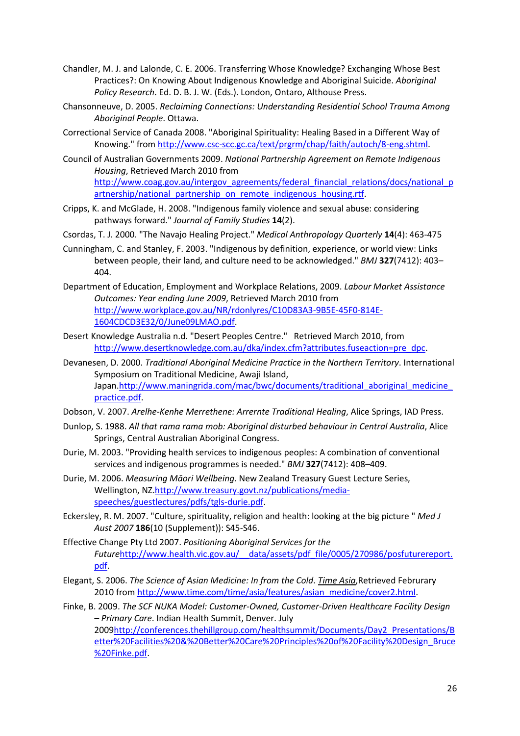- <span id="page-26-4"></span>Chandler, M. J. and Lalonde, C. E. 2006. Transferring Whose Knowledge? Exchanging Whose Best Practices?: On Knowing About Indigenous Knowledge and Aboriginal Suicide. *Aboriginal Policy Research*. Ed. D. B. J. W. (Eds.). London, Ontaro, Althouse Press.
- <span id="page-26-0"></span>Chansonneuve, D. 2005. *Reclaiming Connections: Understanding Residential School Trauma Among Aboriginal People*. Ottawa.
- <span id="page-26-1"></span>Correctional Service of Canada 2008. "Aboriginal Spirituality: Healing Based in a Different Way of Knowing." fro[m http://www.csc-scc.gc.ca/text/prgrm/chap/faith/autoch/8-eng.shtml.](http://www.csc-scc.gc.ca/text/prgrm/chap/faith/autoch/8-eng.shtml)
- <span id="page-26-11"></span>Council of Australian Governments 2009. *National Partnership Agreement on Remote Indigenous Housing*, Retrieved March 2010 from [http://www.coag.gov.au/intergov\\_agreements/federal\\_financial\\_relations/docs/national\\_p](http://www.coag.gov.au/intergov_agreements/federal_financial_relations/docs/national_partnership/national_partnership_on_remote_indigenous_housing.rtf) [artnership/national\\_partnership\\_on\\_remote\\_indigenous\\_housing.rtf.](http://www.coag.gov.au/intergov_agreements/federal_financial_relations/docs/national_partnership/national_partnership_on_remote_indigenous_housing.rtf)
- <span id="page-26-7"></span>Cripps, K. and McGlade, H. 2008. "Indigenous family violence and sexual abuse: considering pathways forward." *Journal of Family Studies* **14**(2).
- <span id="page-26-2"></span>Csordas, T. J. 2000. "The Navajo Healing Project." *Medical Anthropology Quarterly* **14**(4): 463-475
- <span id="page-26-15"></span>Cunningham, C. and Stanley, F. 2003. "Indigenous by definition, experience, or world view: Links between people, their land, and culture need to be acknowledged." *BMJ* **327**(7412): 403– 404.
- <span id="page-26-8"></span>Department of Education, Employment and Workplace Relations, 2009. *Labour Market Assistance Outcomes: Year ending June 2009*, Retrieved March 2010 from [http://www.workplace.gov.au/NR/rdonlyres/C10D83A3-9B5E-45F0-814E-](http://www.workplace.gov.au/NR/rdonlyres/C10D83A3-9B5E-45F0-814E-1604CDCD3E32/0/June09LMAO.pdf)[1604CDCD3E32/0/June09LMAO.pdf.](http://www.workplace.gov.au/NR/rdonlyres/C10D83A3-9B5E-45F0-814E-1604CDCD3E32/0/June09LMAO.pdf)
- <span id="page-26-9"></span>Desert Knowledge Australia n.d. "Desert Peoples Centre." Retrieved March 2010, from [http://www.desertknowledge.com.au/dka/index.cfm?attributes.fuseaction=pre\\_dpc.](http://www.desertknowledge.com.au/dka/index.cfm?attributes.fuseaction=pre_dpc)
- <span id="page-26-12"></span>Devanesen, D. 2000. *Traditional Aboriginal Medicine Practice in the Northern Territory*. International Symposium on Traditional Medicine, Awaji Island, Japan.http://www.maningrida.com/mac/bwc/documents/traditional\_aboriginal\_medicine [practice.pdf.](http://www.maningrida.com/mac/bwc/documents/traditional_aboriginal_medicine_practice.pdf)
- <span id="page-26-5"></span>Dobson, V. 2007. *Arelhe-Kenhe Merrethene: Arrernte Traditional Healing*, Alice Springs, IAD Press.
- <span id="page-26-13"></span>Dunlop, S. 1988. *All that rama rama mob: Aboriginal disturbed behaviour in Central Australia*, Alice Springs, Central Australian Aboriginal Congress.
- <span id="page-26-10"></span>Durie, M. 2003. "Providing health services to indigenous peoples: A combination of conventional services and indigenous programmes is needed." *BMJ* **327**(7412): 408–409.
- <span id="page-26-16"></span>Durie, M. 2006. *Measuring Māori Wellbeing*. New Zealand Treasury Guest Lecture Series, Wellington, NZ[.http://www.treasury.govt.nz/publications/media](http://www.treasury.govt.nz/publications/media-speeches/guestlectures/pdfs/tgls-durie.pdf)[speeches/guestlectures/pdfs/tgls-durie.pdf.](http://www.treasury.govt.nz/publications/media-speeches/guestlectures/pdfs/tgls-durie.pdf)
- <span id="page-26-3"></span>Eckersley, R. M. 2007. "Culture, spirituality, religion and health: looking at the big picture " *Med J Aust 2007* **186**(10 (Supplement)): S45-S46.
- <span id="page-26-14"></span>Effective Change Pty Ltd 2007. *Positioning Aboriginal Services for the Future*[http://www.health.vic.gov.au/\\_\\_data/assets/pdf\\_file/0005/270986/posfuturereport.](http://www.health.vic.gov.au/__data/assets/pdf_file/0005/270986/posfuturereport.pdf) [pdf.](http://www.health.vic.gov.au/__data/assets/pdf_file/0005/270986/posfuturereport.pdf)
- <span id="page-26-17"></span>Elegant, S. 2006. *The Science of Asian Medicine: In from the Cold*. *Time Asia*,Retrieved Februrary 2010 from [http://www.time.com/time/asia/features/asian\\_medicine/cover2.html.](http://www.time.com/time/asia/features/asian_medicine/cover2.html)
- <span id="page-26-6"></span>Finke, B. 2009. *The SCF NUKA Model: Customer-Owned, Customer-Driven Healthcare Facility Design – Primary Care*. Indian Health Summit, Denver. July 200[9http://conferences.thehillgroup.com/healthsummit/Documents/Day2\\_Presentations/B](http://conferences.thehillgroup.com/healthsummit/Documents/Day2_Presentations/Better%20Facilities%20&%20Better%20Care%20Principles%20of%20Facility%20Design_Bruce%20Finke.pdf) [etter%20Facilities%20&%20Better%20Care%20Principles%20of%20Facility%20Design\\_Bruce](http://conferences.thehillgroup.com/healthsummit/Documents/Day2_Presentations/Better%20Facilities%20&%20Better%20Care%20Principles%20of%20Facility%20Design_Bruce%20Finke.pdf) [%20Finke.pdf.](http://conferences.thehillgroup.com/healthsummit/Documents/Day2_Presentations/Better%20Facilities%20&%20Better%20Care%20Principles%20of%20Facility%20Design_Bruce%20Finke.pdf)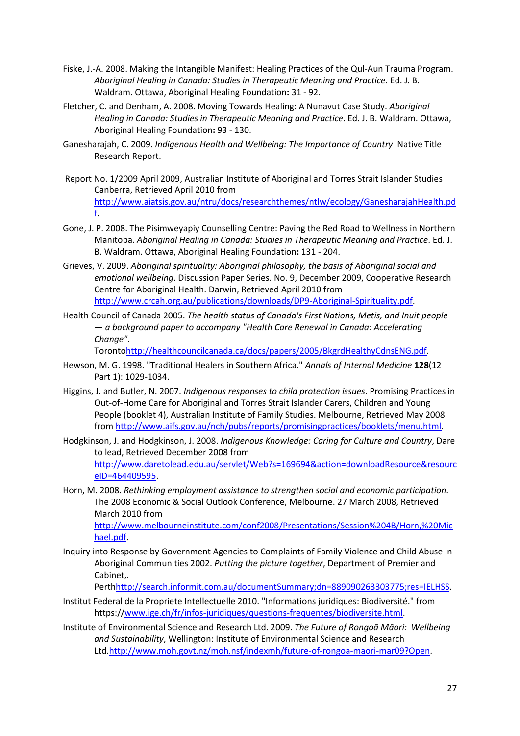- <span id="page-27-2"></span>Fiske, J.-A. 2008. Making the Intangible Manifest: Healing Practices of the Qul-Aun Trauma Program. *Aboriginal Healing in Canada: Studies in Therapeutic Meaning and Practice*. Ed. J. B. Waldram. Ottawa, Aboriginal Healing Foundation**:** 31 - 92.
- <span id="page-27-3"></span>Fletcher, C. and Denham, A. 2008. Moving Towards Healing: A Nunavut Case Study. *Aboriginal Healing in Canada: Studies in Therapeutic Meaning and Practice*. Ed. J. B. Waldram. Ottawa, Aboriginal Healing Foundation**:** 93 - 130.
- <span id="page-27-9"></span>Ganesharajah, C. 2009. *Indigenous Health and Wellbeing: The Importance of Country* Native Title Research Report.
- Report No. 1/2009 April 2009, Australian Institute of Aboriginal and Torres Strait Islander Studies Canberra, Retrieved April 2010 from [http://www.aiatsis.gov.au/ntru/docs/researchthemes/ntlw/ecology/GanesharajahHealth.pd](http://www.aiatsis.gov.au/ntru/docs/researchthemes/ntlw/ecology/GanesharajahHealth.pdf) [f.](http://www.aiatsis.gov.au/ntru/docs/researchthemes/ntlw/ecology/GanesharajahHealth.pdf)
- <span id="page-27-7"></span>Gone, J. P. 2008. The Pisimweyapiy Counselling Centre: Paving the Red Road to Wellness in Northern Manitoba. *Aboriginal Healing in Canada: Studies in Therapeutic Meaning and Practice*. Ed. J. B. Waldram. Ottawa, Aboriginal Healing Foundation**:** 131 - 204.
- <span id="page-27-11"></span>Grieves, V. 2009. *Aboriginal spirituality: Aboriginal philosophy, the basis of Aboriginal social and emotional wellbeing*. Discussion Paper Series. No. 9, December 2009, Cooperative Research Centre for Aboriginal Health. Darwin, Retrieved April 2010 from [http://www.crcah.org.au/publications/downloads/DP9-Aboriginal-Spirituality.pdf.](http://www.crcah.org.au/publications/downloads/DP9-Aboriginal-Spirituality.pdf)
- <span id="page-27-10"></span>Health Council of Canada 2005. *The health status of Canada's First Nations, Metis, and Inuit people — a background paper to accompany "Health Care Renewal in Canada: Accelerating Change"*.

Toront[ohttp://healthcouncilcanada.ca/docs/papers/2005/BkgrdHealthyCdnsENG.pdf.](http://healthcouncilcanada.ca/docs/papers/2005/BkgrdHealthyCdnsENG.pdf)

- <span id="page-27-4"></span>Hewson, M. G. 1998. "Traditional Healers in Southern Africa." *Annals of Internal Medicine* **128**(12 Part 1): 1029-1034.
- <span id="page-27-0"></span>Higgins, J. and Butler, N. 2007. *Indigenous responses to child protection issues*. Promising Practices in Out-of-Home Care for Aboriginal and Torres Strait Islander Carers, Children and Young People (booklet 4), Australian Institute of Family Studies. Melbourne, Retrieved May 2008 from [http://www.aifs.gov.au/nch/pubs/reports/promisingpractices/booklets/menu.html.](http://www.aifs.gov.au/nch/pubs/reports/promisingpractices/booklets/menu.html)
- <span id="page-27-1"></span>Hodgkinson, J. and Hodgkinson, J. 2008. *Indigenous Knowledge: Caring for Culture and Country*, Dare to lead, Retrieved December 2008 from [http://www.daretolead.edu.au/servlet/Web?s=169694&action=downloadResource&resourc](http://www.daretolead.edu.au/servlet/Web?s=169694&action=downloadResource&resourceID=464409595) [eID=464409595.](http://www.daretolead.edu.au/servlet/Web?s=169694&action=downloadResource&resourceID=464409595)
- <span id="page-27-5"></span>Horn, M. 2008. *Rethinking employment assistance to strengthen social and economic participation*. The 2008 Economic & Social Outlook Conference, Melbourne. 27 March 2008, Retrieved March 2010 from

[http://www.melbourneinstitute.com/conf2008/Presentations/Session%204B/Horn,%20Mic](http://www.melbourneinstitute.com/conf2008/Presentations/Session%204B/Horn,%20Michael.pdf) [hael.pdf.](http://www.melbourneinstitute.com/conf2008/Presentations/Session%204B/Horn,%20Michael.pdf)

<span id="page-27-6"></span>Inquiry into Response by Government Agencies to Complaints of Family Violence and Child Abuse in Aboriginal Communities 2002. *Putting the picture together*, Department of Premier and Cabinet,.

Pert[hhttp://search.informit.com.au/documentSummary;dn=889090263303775;res=IELHSS.](http://search.informit.com.au/documentSummary;dn=889090263303775;res=IELHSS)

- <span id="page-27-12"></span>Institut Federal de la Propriete Intellectuelle 2010. "Informations juridiques: Biodiversité." from https:/[/www.ige.ch/fr/infos-juridiques/questions-frequentes/biodiversite.html.](http://www.ige.ch/fr/infos-juridiques/questions-frequentes/biodiversite.html)
- <span id="page-27-8"></span>Institute of Environmental Science and Research Ltd. 2009. *The Future of Rongoā Māori: Wellbeing and Sustainability*, Wellington: Institute of Environmental Science and Research Ltd[.http://www.moh.govt.nz/moh.nsf/indexmh/future-of-rongoa-maori-mar09?Open.](http://www.moh.govt.nz/moh.nsf/indexmh/future-of-rongoa-maori-mar09?Open)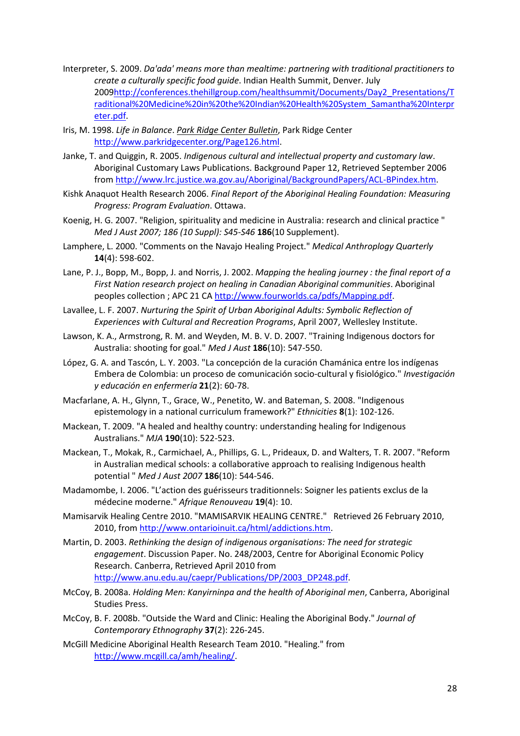- <span id="page-28-13"></span>Interpreter, S. 2009. *Da'ada' means more than mealtime: partnering with traditional practitioners to create a culturally specific food guide*. Indian Health Summit, Denver. July 200[9http://conferences.thehillgroup.com/healthsummit/Documents/Day2\\_Presentations/T](http://conferences.thehillgroup.com/healthsummit/Documents/Day2_Presentations/Traditional%20Medicine%20in%20the%20Indian%20Health%20System_Samantha%20Interpreter.pdf) [raditional%20Medicine%20in%20the%20Indian%20Health%20System\\_Samantha%20Interpr](http://conferences.thehillgroup.com/healthsummit/Documents/Day2_Presentations/Traditional%20Medicine%20in%20the%20Indian%20Health%20System_Samantha%20Interpreter.pdf) [eter.pdf.](http://conferences.thehillgroup.com/healthsummit/Documents/Day2_Presentations/Traditional%20Medicine%20in%20the%20Indian%20Health%20System_Samantha%20Interpreter.pdf)
- <span id="page-28-10"></span>Iris, M. 1998. *Life in Balance*. *Park Ridge Center Bulletin*, Park Ridge Center [http://www.parkridgecenter.org/Page126.html.](http://www.parkridgecenter.org/Page126.html)
- <span id="page-28-2"></span>Janke, T. and Quiggin, R. 2005. *Indigenous cultural and intellectual property and customary law*. Aboriginal Customary Laws Publications. Background Paper 12, Retrieved September 2006 from [http://www.lrc.justice.wa.gov.au/Aboriginal/BackgroundPapers/ACL-BPindex.htm.](http://www.lrc.justice.wa.gov.au/Aboriginal/BackgroundPapers/ACL-BPindex.htm)
- <span id="page-28-11"></span>Kishk Anaquot Health Research 2006. *Final Report of the Aboriginal Healing Foundation: Measuring Progress: Program Evaluation*. Ottawa.
- <span id="page-28-8"></span>Koenig, H. G. 2007. "Religion, spirituality and medicine in Australia: research and clinical practice " *Med J Aust 2007; 186 (10 Suppl): S45-S46* **186**(10 Supplement).
- <span id="page-28-14"></span>Lamphere, L. 2000. "Comments on the Navajo Healing Project." *Medical Anthroplogy Quarterly* **14**(4): 598-602.
- <span id="page-28-0"></span>Lane, P. J., Bopp, M., Bopp, J. and Norris, J. 2002. *Mapping the healing journey : the final report of a First Nation research project on healing in Canadian Aboriginal communities*. Aboriginal peoples collection ; APC 21 C[A http://www.fourworlds.ca/pdfs/Mapping.pdf.](http://www.fourworlds.ca/pdfs/Mapping.pdf)
- <span id="page-28-15"></span>Lavallee, L. F. 2007. *Nurturing the Spirit of Urban Aboriginal Adults: Symbolic Reflection of Experiences with Cultural and Recreation Programs*, April 2007, Wellesley Institute.
- <span id="page-28-16"></span>Lawson, K. A., Armstrong, R. M. and Weyden, M. B. V. D. 2007. "Training Indigenous doctors for Australia: shooting for goal." *Med J Aust* **186**(10): 547-550.
- <span id="page-28-5"></span>López, G. A. and Tascón, L. Y. 2003. "La concepción de la curación Chamánica entre los indígenas Embera de Colombia: un proceso de comunicación socio-cultural y fisiológico." *Investigación y educación en enfermería* **21**(2): 60-78.
- <span id="page-28-3"></span>Macfarlane, A. H., Glynn, T., Grace, W., Penetito, W. and Bateman, S. 2008. "Indigenous epistemology in a national curriculum framework?" *Ethnicities* **8**(1): 102-126.
- <span id="page-28-7"></span>Mackean, T. 2009. "A healed and healthy country: understanding healing for Indigenous Australians." *MJA* **190**(10): 522-523.
- <span id="page-28-17"></span>Mackean, T., Mokak, R., Carmichael, A., Phillips, G. L., Prideaux, D. and Walters, T. R. 2007. "Reform in Australian medical schools: a collaborative approach to realising Indigenous health potential " *Med J Aust 2007* **186**(10): 544-546.
- <span id="page-28-12"></span>Madamombe, I. 2006. "L'action des guérisseurs traditionnels: Soigner les patients exclus de la médecine moderne." *Afrique Renouveau* **19**(4): 10.
- <span id="page-28-9"></span>Mamisarvik Healing Centre 2010. "MAMISARVIK HEALING CENTRE." Retrieved 26 February 2010, 2010, from [http://www.ontarioinuit.ca/html/addictions.htm.](http://www.ontarioinuit.ca/html/addictions.htm)
- <span id="page-28-4"></span>Martin, D. 2003. *Rethinking the design of indigenous organisations: The need for strategic engagement*. Discussion Paper. No. 248/2003, Centre for Aboriginal Economic Policy Research. Canberra, Retrieved April 2010 from [http://www.anu.edu.au/caepr/Publications/DP/2003\\_DP248.pdf.](http://www.anu.edu.au/caepr/Publications/DP/2003_DP248.pdf)
- <span id="page-28-6"></span>McCoy, B. 2008a. *Holding Men: Kanyirninpa and the health of Aboriginal men*, Canberra, Aboriginal Studies Press.
- <span id="page-28-18"></span>McCoy, B. F. 2008b. "Outside the Ward and Clinic: Healing the Aboriginal Body." *Journal of Contemporary Ethnography* **37**(2): 226-245.
- <span id="page-28-1"></span>McGill Medicine Aboriginal Health Research Team 2010. "Healing." from [http://www.mcgill.ca/amh/healing/.](http://www.mcgill.ca/amh/healing/)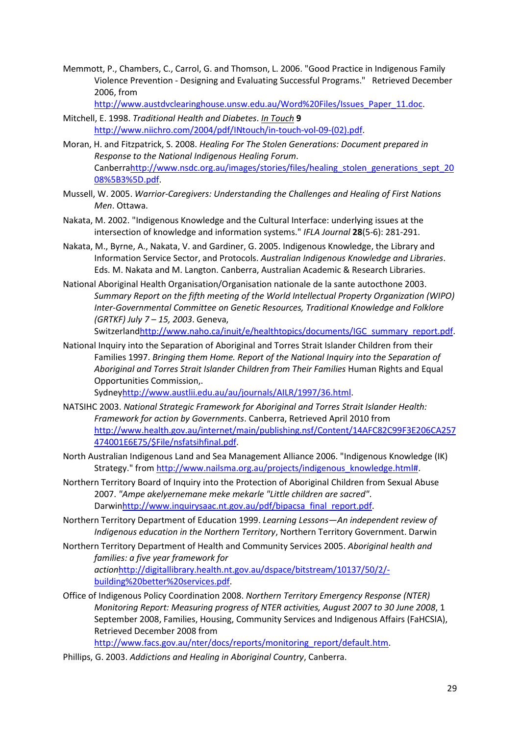<span id="page-29-1"></span>Memmott, P., Chambers, C., Carrol, G. and Thomson, L. 2006. "Good Practice in Indigenous Family Violence Prevention - Designing and Evaluating Successful Programs." Retrieved December 2006, from

[http://www.austdvclearinghouse.unsw.edu.au/Word%20Files/Issues\\_Paper\\_11.doc.](http://www.austdvclearinghouse.unsw.edu.au/Word%20Files/Issues_Paper_11.doc)

- <span id="page-29-11"></span>Mitchell, E. 1998. *Traditional Health and Diabetes*. *In Touch* **9** [http://www.niichro.com/2004/pdf/INtouch/in-touch-vol-09-\(02\).pdf.](http://www.niichro.com/2004/pdf/INtouch/in-touch-vol-09-(02).pdf)
- <span id="page-29-6"></span>Moran, H. and Fitzpatrick, S. 2008. *Healing For The Stolen Generations: Document prepared in Response to the National Indigenous Healing Forum*. Canberr[ahttp://www.nsdc.org.au/images/stories/files/healing\\_stolen\\_generations\\_sept\\_20](http://www.nsdc.org.au/images/stories/files/healing_stolen_generations_sept_2008%5B3%5D.pdf) [08%5B3%5D.pdf.](http://www.nsdc.org.au/images/stories/files/healing_stolen_generations_sept_2008%5B3%5D.pdf)
- <span id="page-29-9"></span>Mussell, W. 2005. *Warrior-Caregivers: Understanding the Challenges and Healing of First Nations Men*. Ottawa.
- <span id="page-29-3"></span>Nakata, M. 2002. "Indigenous Knowledge and the Cultural Interface: underlying issues at the intersection of knowledge and information systems." *IFLA Journal* **28**(5-6): 281-291.
- <span id="page-29-0"></span>Nakata, M., Byrne, A., Nakata, V. and Gardiner, G. 2005. Indigenous Knowledge, the Library and Information Service Sector, and Protocols. *Australian Indigenous Knowledge and Libraries*. Eds. M. Nakata and M. Langton. Canberra, Australian Academic & Research Libraries.
- <span id="page-29-14"></span>National Aboriginal Health Organisation/Organisation nationale de la sante autocthone 2003. *Summary Report on the fifth meeting of the World Intellectual Property Organization (WIPO) Inter-Governmental Committee on Genetic Resources, Traditional Knowledge and Folklore (GRTKF) July 7 – 15, 2003*. Geneva,

Switzerlan[dhttp://www.naho.ca/inuit/e/healthtopics/documents/IGC\\_summary\\_report.pdf.](http://www.naho.ca/inuit/e/healthtopics/documents/IGC_summary_report.pdf)

<span id="page-29-7"></span>National Inquiry into the Separation of Aboriginal and Torres Strait Islander Children from their Families 1997. *Bringing them Home. Report of the National Inquiry into the Separation of*  Aboriginal and Torres Strait Islander Children from Their Families Human Rights and Equal Opportunities Commission,.

Sydne[yhttp://www.austlii.edu.au/au/journals/AILR/1997/36.html.](http://www.austlii.edu.au/au/journals/AILR/1997/36.html)

- <span id="page-29-13"></span>NATSIHC 2003. *National Strategic Framework for Aboriginal and Torres Strait Islander Health: Framework for action by Governments*. Canberra, Retrieved April 2010 from [http://www.health.gov.au/internet/main/publishing.nsf/Content/14AFC82C99F3E206CA257](http://www.health.gov.au/internet/main/publishing.nsf/Content/14AFC82C99F3E206CA257474001E6E75/$File/nsfatsihfinal.pdf) [474001E6E75/\\$File/nsfatsihfinal.pdf.](http://www.health.gov.au/internet/main/publishing.nsf/Content/14AFC82C99F3E206CA257474001E6E75/$File/nsfatsihfinal.pdf)
- <span id="page-29-4"></span>North Australian Indigenous Land and Sea Management Alliance 2006. "Indigenous Knowledge (IK) Strategy." from [http://www.nailsma.org.au/projects/indigenous\\_knowledge.html#.](http://www.nailsma.org.au/projects/indigenous_knowledge.html)
- <span id="page-29-8"></span>Northern Territory Board of Inquiry into the Protection of Aboriginal Children from Sexual Abuse 2007. *"Ampe akelyernemane meke mekarle "Little children are sacred"*. Darwi[nhttp://www.inquirysaac.nt.gov.au/pdf/bipacsa\\_final\\_report.pdf.](http://www.inquirysaac.nt.gov.au/pdf/bipacsa_final_report.pdf)
- <span id="page-29-2"></span>Northern Territory Department of Education 1999. *Learning Lessons—An independent review of Indigenous education in the Northern Territory*, Northern Territory Government. Darwin
- <span id="page-29-12"></span>Northern Territory Department of Health and Community Services 2005. *Aboriginal health and families: a five year framework for action*[http://digitallibrary.health.nt.gov.au/dspace/bitstream/10137/50/2/](http://digitallibrary.health.nt.gov.au/dspace/bitstream/10137/50/2/-building%20better%20services.pdf) [building%20better%20services.pdf.](http://digitallibrary.health.nt.gov.au/dspace/bitstream/10137/50/2/-building%20better%20services.pdf)
- <span id="page-29-5"></span>Office of Indigenous Policy Coordination 2008. *Northern Territory Emergency Response (NTER) Monitoring Report: Measuring progress of NTER activities, August 2007 to 30 June 2008*, 1 September 2008, Families, Housing, Community Services and Indigenous Affairs (FaHCSIA), Retrieved December 2008 from

[http://www.facs.gov.au/nter/docs/reports/monitoring\\_report/default.htm.](http://www.facs.gov.au/nter/docs/reports/monitoring_report/default.htm)

<span id="page-29-10"></span>Phillips, G. 2003. *Addictions and Healing in Aboriginal Country*, Canberra.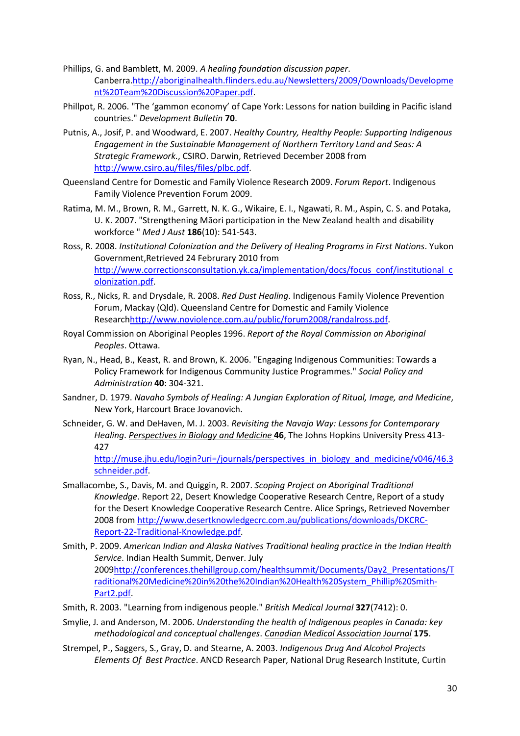- <span id="page-30-10"></span>Phillips, G. and Bamblett, M. 2009. *A healing foundation discussion paper*. Canberra[.http://aboriginalhealth.flinders.edu.au/Newsletters/2009/Downloads/Developme](http://aboriginalhealth.flinders.edu.au/Newsletters/2009/Downloads/Development%20Team%20Discussion%20Paper.pdf) [nt%20Team%20Discussion%20Paper.pdf.](http://aboriginalhealth.flinders.edu.au/Newsletters/2009/Downloads/Development%20Team%20Discussion%20Paper.pdf)
- <span id="page-30-14"></span>Phillpot, R. 2006. "The 'gammon economy' of Cape York: Lessons for nation building in Pacific island countries." *Development Bulletin* **70**.
- <span id="page-30-2"></span>Putnis, A., Josif, P. and Woodward, E. 2007. *Healthy Country, Healthy People: Supporting Indigenous Engagement in the Sustainable Management of Northern Territory Land and Seas: A Strategic Framework.*, CSIRO. Darwin, Retrieved December 2008 from [http://www.csiro.au/files/files/plbc.pdf.](http://www.csiro.au/files/files/plbc.pdf)
- <span id="page-30-15"></span>Queensland Centre for Domestic and Family Violence Research 2009. *Forum Report*. Indigenous Family Violence Prevention Forum 2009.
- <span id="page-30-11"></span>Ratima, M. M., Brown, R. M., Garrett, N. K. G., Wikaire, E. I., Ngawati, R. M., Aspin, C. S. and Potaka, U. K. 2007. "Strengthening Māori participation in the New Zealand health and disability workforce " *Med J Aust* **186**(10): 541-543.
- <span id="page-30-5"></span>Ross, R. 2008. *Institutional Colonization and the Delivery of Healing Programs in First Nations*. Yukon Government,Retrieved 24 Februrary 2010 from [http://www.correctionsconsultation.yk.ca/implementation/docs/focus\\_conf/institutional\\_c](http://www.correctionsconsultation.yk.ca/implementation/docs/focus_conf/institutional_colonization.pdf) [olonization.pdf.](http://www.correctionsconsultation.yk.ca/implementation/docs/focus_conf/institutional_colonization.pdf)
- <span id="page-30-7"></span>Ross, R., Nicks, R. and Drysdale, R. 2008. *Red Dust Healing*. Indigenous Family Violence Prevention Forum, Mackay (Qld). Queensland Centre for Domestic and Family Violence Researc[hhttp://www.noviolence.com.au/public/forum2008/randalross.pdf.](http://www.noviolence.com.au/public/forum2008/randalross.pdf)
- <span id="page-30-6"></span>Royal Commission on Aboriginal Peoples 1996. *Report of the Royal Commission on Aboriginal Peoples*. Ottawa.
- <span id="page-30-3"></span>Ryan, N., Head, B., Keast, R. and Brown, K. 2006. "Engaging Indigenous Communities: Towards a Policy Framework for Indigenous Community Justice Programmes." *Social Policy and Administration* **40**: 304-321.
- <span id="page-30-8"></span>Sandner, D. 1979. *Navaho Symbols of Healing: A Jungian Exploration of Ritual, Image, and Medicine*, New York, Harcourt Brace Jovanovich.
- <span id="page-30-12"></span>Schneider, G. W. and DeHaven, M. J. 2003. *Revisiting the Navajo Way: Lessons for Contemporary Healing*. *Perspectives in Biology and Medicine* **46**, The Johns Hopkins University Press 413- 427

[http://muse.jhu.edu/login?uri=/journals/perspectives\\_in\\_biology\\_and\\_medicine/v046/46.3](http://muse.jhu.edu/login?uri=/journals/perspectives_in_biology_and_medicine/v046/46.3schneider.pdf) [schneider.pdf.](http://muse.jhu.edu/login?uri=/journals/perspectives_in_biology_and_medicine/v046/46.3schneider.pdf)

- <span id="page-30-1"></span>Smallacombe, S., Davis, M. and Quiggin, R. 2007. *Scoping Project on Aboriginal Traditional Knowledge*. Report 22, Desert Knowledge Cooperative Research Centre, Report of a study for the Desert Knowledge Cooperative Research Centre. Alice Springs, Retrieved November 2008 from [http://www.desertknowledgecrc.com.au/publications/downloads/DKCRC-](http://www.desertknowledgecrc.com.au/publications/downloads/DKCRC-Report-22-Traditional-Knowledge.pdf)[Report-22-Traditional-Knowledge.pdf.](http://www.desertknowledgecrc.com.au/publications/downloads/DKCRC-Report-22-Traditional-Knowledge.pdf)
- <span id="page-30-4"></span>Smith, P. 2009. *American Indian and Alaska Natives Traditional healing practice in the Indian Health Service*. Indian Health Summit, Denver. July 200[9http://conferences.thehillgroup.com/healthsummit/Documents/Day2\\_Presentations/T](http://conferences.thehillgroup.com/healthsummit/Documents/Day2_Presentations/Traditional%20Medicine%20in%20the%20Indian%20Health%20System_Phillip%20Smith-Part2.pdf) [raditional%20Medicine%20in%20the%20Indian%20Health%20System\\_Phillip%20Smith-](http://conferences.thehillgroup.com/healthsummit/Documents/Day2_Presentations/Traditional%20Medicine%20in%20the%20Indian%20Health%20System_Phillip%20Smith-Part2.pdf)[Part2.pdf.](http://conferences.thehillgroup.com/healthsummit/Documents/Day2_Presentations/Traditional%20Medicine%20in%20the%20Indian%20Health%20System_Phillip%20Smith-Part2.pdf)
- <span id="page-30-9"></span>Smith, R. 2003. "Learning from indigenous people." *British Medical Journal* **327**(7412): 0.
- <span id="page-30-13"></span>Smylie, J. and Anderson, M. 2006. *Understanding the health of Indigenous peoples in Canada: key methodological and conceptual challenges*. *Canadian Medical Association Journal* **175**.
- <span id="page-30-0"></span>Strempel, P., Saggers, S., Gray, D. and Stearne, A. 2003. *Indigenous Drug And Alcohol Projects Elements Of Best Practice*. ANCD Research Paper, National Drug Research Institute, Curtin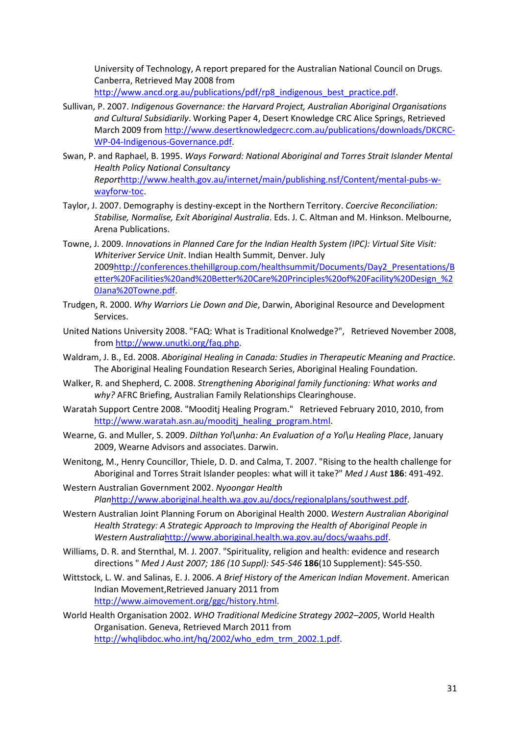University of Technology, A report prepared for the Australian National Council on Drugs. Canberra, Retrieved May 2008 from [http://www.ancd.org.au/publications/pdf/rp8\\_indigenous\\_best\\_practice.pdf.](http://www.ancd.org.au/publications/pdf/rp8_indigenous_best_practice.pdf)

- <span id="page-31-2"></span>Sullivan, P. 2007. *Indigenous Governance: the Harvard Project, Australian Aboriginal Organisations and Cultural Subsidiarily*. Working Paper 4, Desert Knowledge CRC Alice Springs, Retrieved March 2009 fro[m http://www.desertknowledgecrc.com.au/publications/downloads/DKCRC-](http://www.desertknowledgecrc.com.au/publications/downloads/DKCRC-WP-04-Indigenous-Governance.pdf)[WP-04-Indigenous-Governance.pdf.](http://www.desertknowledgecrc.com.au/publications/downloads/DKCRC-WP-04-Indigenous-Governance.pdf)
- <span id="page-31-5"></span>Swan, P. and Raphael, B. 1995. *Ways Forward: National Aboriginal and Torres Strait Islander Mental Health Policy National Consultancy Report*[http://www.health.gov.au/internet/main/publishing.nsf/Content/mental-pubs-w](http://www.health.gov.au/internet/main/publishing.nsf/Content/mental-pubs-w-wayforw-toc)[wayforw-toc.](http://www.health.gov.au/internet/main/publishing.nsf/Content/mental-pubs-w-wayforw-toc)
- <span id="page-31-12"></span>Taylor, J. 2007. Demography is destiny-except in the Northern Territory. *Coercive Reconciliation: Stabilise, Normalise, Exit Aboriginal Australia*. Eds. J. C. Altman and M. Hinkson. Melbourne, Arena Publications.
- <span id="page-31-9"></span>Towne, J. 2009. *Innovations in Planned Care for the Indian Health System (IPC): Virtual Site Visit: Whiteriver Service Unit*. Indian Health Summit, Denver. July 200[9http://conferences.thehillgroup.com/healthsummit/Documents/Day2\\_Presentations/B](http://conferences.thehillgroup.com/healthsummit/Documents/Day2_Presentations/Better%20Facilities%20and%20Better%20Care%20Principles%20of%20Facility%20Design_%20Jana%20Towne.pdf) [etter%20Facilities%20and%20Better%20Care%20Principles%20of%20Facility%20Design\\_%2](http://conferences.thehillgroup.com/healthsummit/Documents/Day2_Presentations/Better%20Facilities%20and%20Better%20Care%20Principles%20of%20Facility%20Design_%20Jana%20Towne.pdf) [0Jana%20Towne.pdf.](http://conferences.thehillgroup.com/healthsummit/Documents/Day2_Presentations/Better%20Facilities%20and%20Better%20Care%20Principles%20of%20Facility%20Design_%20Jana%20Towne.pdf)
- <span id="page-31-10"></span>Trudgen, R. 2000. *Why Warriors Lie Down and Die*, Darwin, Aboriginal Resource and Development Services.
- <span id="page-31-0"></span>United Nations University 2008. "FAQ: What is Traditional Knolwedge?", Retrieved November 2008, from [http://www.unutki.org/faq.php.](http://www.unutki.org/faq.php)
- <span id="page-31-4"></span>Waldram, J. B., Ed. 2008. *Aboriginal Healing in Canada: Studies in Therapeutic Meaning and Practice*. The Aboriginal Healing Foundation Research Series, Aboriginal Healing Foundation.
- <span id="page-31-1"></span>Walker, R. and Shepherd, C. 2008. *Strengthening Aboriginal family functioning: What works and why?* AFRC Briefing, Australian Family Relationships Clearinghouse.
- <span id="page-31-7"></span>Waratah Support Centre 2008. "Mooditj Healing Program." Retrieved February 2010, 2010, from [http://www.waratah.asn.au/mooditj\\_healing\\_program.html.](http://www.waratah.asn.au/mooditj_healing_program.html)
- <span id="page-31-8"></span>Wearne, G. and Muller, S. 2009. *Dilthan Yol\unha: An Evaluation of a Yol\u Healing Place*, January 2009, Wearne Advisors and associates. Darwin.
- <span id="page-31-13"></span>Wenitong, M., Henry Councillor, Thiele, D. D. and Calma, T. 2007. "Rising to the health challenge for Aboriginal and Torres Strait Islander peoples: what will it take?" *Med J Aust* **186**: 491-492.
- <span id="page-31-15"></span>Western Australian Government 2002. *Nyoongar Health Plan*[http://www.aboriginal.health.wa.gov.au/docs/regionalplans/southwest.pdf.](http://www.aboriginal.health.wa.gov.au/docs/regionalplans/southwest.pdf)
- <span id="page-31-14"></span>Western Australian Joint Planning Forum on Aboriginal Health 2000. *Western Australian Aboriginal Health Strategy: A Strategic Approach to Improving the Health of Aboriginal People in Western Australia*[http://www.aboriginal.health.wa.gov.au/docs/waahs.pdf.](http://www.aboriginal.health.wa.gov.au/docs/waahs.pdf)
- <span id="page-31-6"></span>Williams, D. R. and Sternthal, M. J. 2007. "Spirituality, religion and health: evidence and research directions " *Med J Aust 2007; 186 (10 Suppl): S45-S46* **186**(10 Supplement): S45-S50.
- <span id="page-31-11"></span>Wittstock, L. W. and Salinas, E. J. 2006. *A Brief History of the American Indian Movement*. American Indian Movement,Retrieved January 2011 from [http://www.aimovement.org/ggc/history.html.](http://www.aimovement.org/ggc/history.html)
- <span id="page-31-3"></span>World Health Organisation 2002. *WHO Traditional Medicine Strategy 2002–2005*, World Health Organisation. Geneva, Retrieved March 2011 from [http://whqlibdoc.who.int/hq/2002/who\\_edm\\_trm\\_2002.1.pdf.](http://whqlibdoc.who.int/hq/2002/who_edm_trm_2002.1.pdf)